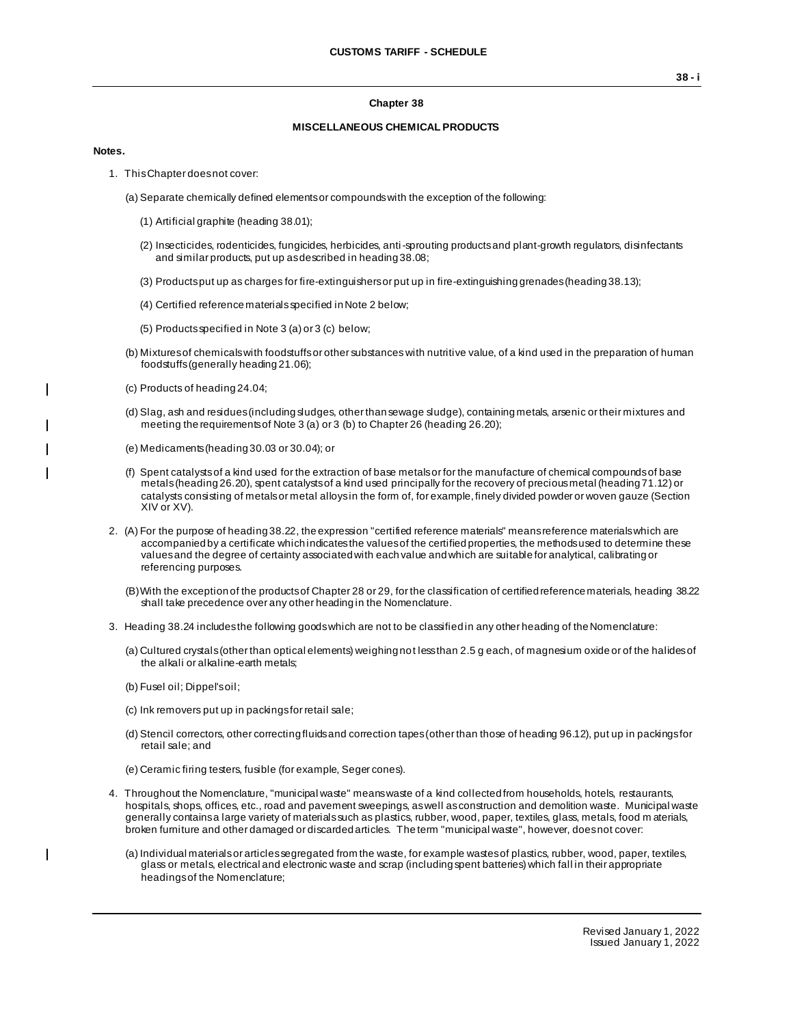### **Chapter 38**

### **MISCELLANEOUS CHEMICAL PRODUCTS**

#### **Notes.**

 $\overline{\phantom{a}}$ 

 $\blacksquare$ 

- 1. This Chapter does not cover:
	- (a) Separate chemically defined elements or compounds with the exception of the following:
		- (1) Artificial graphite (heading 38.01);
		- (2) Insecticides, rodenticides, fungicides, herbicides, anti-sprouting products and plant-growth regulators, disinfectants and similar products, put up as described in heading 38.08;
		- (3) Products put up as charges for fire-extinguishers or put up in fire-extinguishing grenades (heading 38.13);
		- (4) Certified reference materials specified in Note 2 below;
		- (5) Products specified in Note 3 (a) or 3 (c) below;
	- (b) Mixtures of chemicals with foodstuffs or other substances with nutritive value, of a kind used in the preparation of human foodstuffs (generally heading 21.06);
	- (c) Products of heading 24.04;
	- (d) Slag, ash and residues (including sludges, other than sewage sludge), containing metals, arsenic or their mixtures and meeting the requirements of Note 3 (a) or 3 (b) to Chapter 26 (heading 26.20);
	- (e) Medicaments (heading 30.03 or 30.04); or
	- (f) Spent catalysts of a kind used for the extraction of base metals or for the manufacture of chemical compounds of base metals (heading 26.20), spent catalysts of a kind used principally for the recovery of precious metal (heading 71.12) or catalysts consisting of metals or metal alloys in the form of, for example, finely divided powder or woven gauze (Section XIV or XV).
- 2. (A) For the purpose of heading 38.22, the expression "certified reference materials" means reference materials which are accompanied by a certificate which indicates the values of the certified properties, the methods used to determine these values and the degree of certainty associated with each value and which are suitable for analytical, calibrating or referencing purposes.
	- (B)With the exception of the products of Chapter 28 or 29, for the classification of certified reference materials, heading 38.22 shall take precedence over any other heading in the Nomenclature.
- 3. Heading 38.24 includes the following goods which are not to be classified in any other heading of the Nomenclature:
	- (a) Cultured crystals (other than optical elements) weighing not less than 2.5 g each, of magnesium oxide or of the halides of the alkali or alkaline-earth metals;
	- (b) Fusel oil; Dippel's oil;
	- (c) Ink removers put up in packings for retail sale;
	- (d) Stencil correctors, other correcting fluids and correction tapes (other than those of heading 96.12), put up in packings for retail sale; and
	- (e) Ceramic firing testers, fusible (for example, Seger cones).
- 4. Throughout the Nomenclature, "municipal waste" means waste of a kind collected from households, hotels, restaurants, hospitals, shops, offices, etc., road and pavement sweepings, as well as construction and demolition waste. Municipal waste generally contains a large variety of materials such as plastics, rubber, wood, paper, textiles, glass, metals, food m aterials, broken furniture and other damaged or discarded articles. The term "municipal waste", however, does not cover:
	- (a) Individual materials or articles segregated from the waste, for example wastes of plastics, rubber, wood, paper, textiles, glass or metals, electrical and electronic waste and scrap (including spent batteries) which fall in their appropriate headings of the Nomenclature;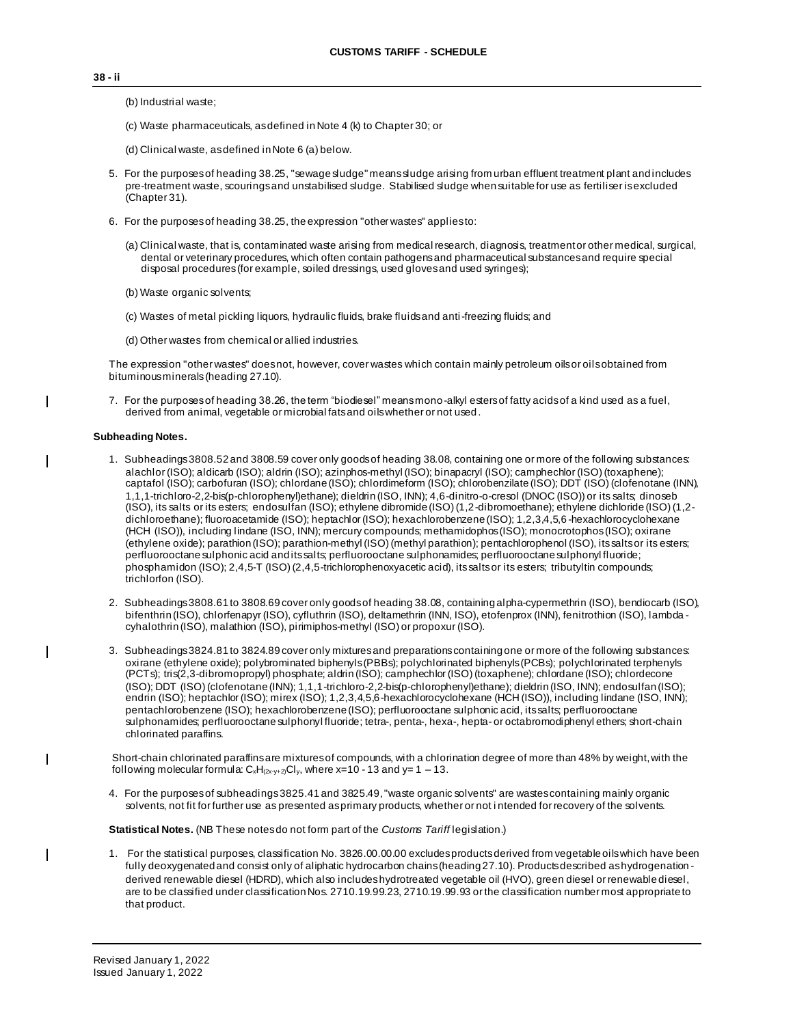**38 - ii**

(b) Industrial waste;

- (c) Waste pharmaceuticals, as defined in Note 4 (k) to Chapter 30; or
- (d) Clinical waste, as defined in Note 6 (a) below.
- 5. For the purposes of heading 38.25, "sewage sludge" means sludge arising from urban effluent treatment plant and includes pre-treatment waste, scourings and unstabilised sludge. Stabilised sludge when suitable for use as fertiliser is excluded (Chapter 31).
- 6. For the purposes of heading 38.25, the expression "other wastes" applies to:
	- (a) Clinical waste, that is, contaminated waste arising from medical research, diagnosis, treatment or other medical, surgical, dental or veterinary procedures, which often contain pathogens and pharmaceutical substances and require special disposal procedures (for example, soiled dressings, used gloves and used syringes);
	- (b) Waste organic solvents;
	- (c) Wastes of metal pickling liquors, hydraulic fluids, brake fluids and anti-freezing fluids; and
	- (d) Other wastes from chemical or allied industries.

The expression "other wastes" does not, however, cover wastes which contain mainly petroleum oils or oils obtained from bituminous minerals(heading 27.10).

7. For the purposes of heading 38.26, the term "biodiesel" means mono-alkyl esters of fatty acids of a kind used as a fuel, derived from animal, vegetable or microbial fats and oils whether or not used.

### **Subheading Notes.**

 $\mathbf{I}$ 

 $\overline{\phantom{a}}$ 

 $\overline{\phantom{a}}$ 

 $\overline{\phantom{a}}$ 

 $\overline{\phantom{a}}$ 

- 1. Subheadings 3808.52 and 3808.59 cover only goods of heading 38.08, containing one or more of the following substances: alachlor (ISO); aldicarb (ISO); aldrin (ISO); azinphos-methyl (ISO); binapacryl (ISO); camphechlor (ISO) (toxaphene); captafol (ISO); carbofuran (ISO); chlordane (ISO); chlordimeform (ISO); chlorobenzilate (ISO); DDT (ISO) (clofenotane (INN), 1,1,1-trichloro-2,2-bis(p-chlorophenyl)ethane); dieldrin (ISO, INN); 4,6-dinitro-o-cresol (DNOC (ISO)) or its salts; dinoseb (ISO), its salts or its esters; endosulfan (ISO); ethylene dibromide (ISO) (1,2-dibromoethane); ethylene dichloride (ISO) (1,2 dichloroethane); fluoroacetamide (ISO); heptachlor (ISO); hexachlorobenzene (ISO); 1,2,3,4,5,6 -hexachlorocyclohexane (HCH (ISO)), including lindane (ISO, INN); mercury compounds; methamidophos (ISO); monocrotophos (ISO); oxirane (ethylene oxide); parathion (ISO); parathion-methyl (ISO) (methyl parathion); pentachlorophenol (ISO), its salts or its esters; perfluorooctane sulphonic acid and its salts; perfluorooctane sulphonamides; perfluorooctane sulphonyl fluoride; phosphamidon (ISO); 2,4,5-T (ISO) (2,4,5-trichlorophenoxyacetic acid), its salts or its esters; tributyltin compounds; trichlorfon (ISO).
- 2. Subheadings 3808.61 to 3808.69 cover only goods of heading 38.08, containing alpha-cypermethrin (ISO), bendiocarb (ISO), bifenthrin (ISO), chlorfenapyr (ISO), cyfluthrin (ISO), deltamethrin (INN, ISO), etofenprox (INN), fenitrothion (ISO), lambda cyhalothrin (ISO), malathion (ISO), pirimiphos-methyl (ISO) or propoxur (ISO).
- 3. Subheadings 3824.81 to 3824.89 cover only mixtures and preparations containing one or more of the following substances: oxirane (ethylene oxide); polybrominated biphenyls (PBBs); polychlorinated biphenyls (PCBs); polychlorinated terphenyls (PCTs); tris(2,3-dibromopropyl) phosphate; aldrin (ISO); camphechlor (ISO) (toxaphene); chlordane (ISO); chlordecone (ISO); DDT (ISO) (clofenotane (INN); 1,1,1-trichloro-2,2-bis(p-chlorophenyl)ethane); dieldrin (ISO, INN); endosulfan (ISO); endrin (ISO); heptachlor (ISO); mirex (ISO); 1,2,3,4,5,6-hexachlorocyclohexane (HCH (ISO)), including lindane (ISO, INN); pentachlorobenzene (ISO); hexachlorobenzene (ISO); perfluorooctane sulphonic acid, its salts; perfluorooctane sulphonamides; perfluorooctane sulphonyl fluoride; tetra-, penta-, hexa-, hepta- or octabromodiphenyl ethers; short-chain chlorinated paraffins.
- Short-chain chlorinated paraffins are mixtures of compounds, with a chlorination degree of more than 48% by weight, with the following molecular formula:  $C_xH_{(2x+y+2)}Cl_y$ , where x=10 - 13 and y= 1 - 13.
- 4. For the purposes of subheadings 3825.41 and 3825.49, "waste organic solvents" are wastes containing mainly organic solvents, not fit for further use as presented as primary products, whether or not i ntended for recovery of the solvents.

**Statistical Notes.** (NB These notes do not form part of the *Customs Tariff* legislation.)

1. For the statistical purposes, classification No. 3826.00.00.00 excludes products derived from vegetable oils which have been fully deoxygenated and consist only of aliphatic hydrocarbon chains (heading 27.10). Products described as hydrogenation derived renewable diesel (HDRD), which also includes hydrotreated vegetable oil (HVO), green diesel or renewable diesel, are to be classified under classification Nos. 2710.19.99.23, 2710.19.99.93 or the classification number most appropriate to that product.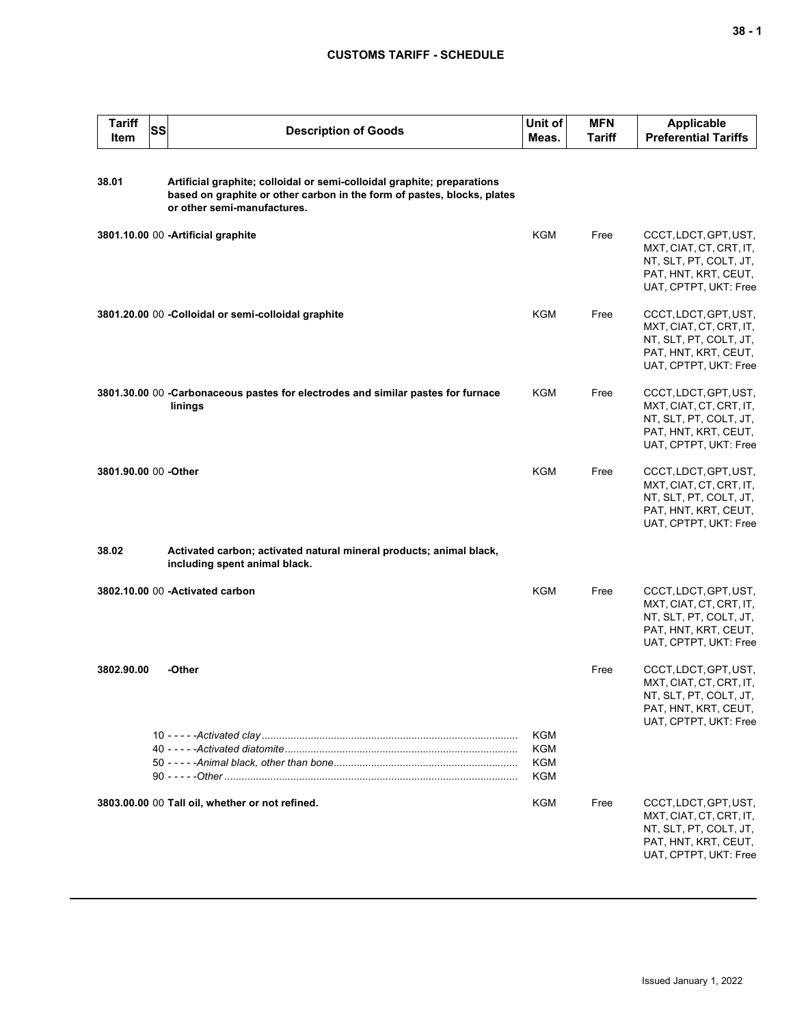| <b>Tariff</b><br>Item | <b>SS</b> | <b>Description of Goods</b>                                                                                                                                                       | Unit of<br>Meas.         | <b>MFN</b><br><b>Tariff</b> | Applicable<br><b>Preferential Tariffs</b>                                                                                   |
|-----------------------|-----------|-----------------------------------------------------------------------------------------------------------------------------------------------------------------------------------|--------------------------|-----------------------------|-----------------------------------------------------------------------------------------------------------------------------|
| 38.01                 |           | Artificial graphite; colloidal or semi-colloidal graphite; preparations<br>based on graphite or other carbon in the form of pastes, blocks, plates<br>or other semi-manufactures. |                          |                             |                                                                                                                             |
|                       |           | 3801.10.00 00 - Artificial graphite                                                                                                                                               | KGM                      | Free                        | CCCT, LDCT, GPT, UST,<br>MXT, CIAT, CT, CRT, IT,<br>NT, SLT, PT, COLT, JT,<br>PAT, HNT, KRT, CEUT,<br>UAT, CPTPT, UKT: Free |
|                       |           | 3801.20.00 00 -Colloidal or semi-colloidal graphite                                                                                                                               | <b>KGM</b>               | Free                        | CCCT, LDCT, GPT, UST,<br>MXT, CIAT, CT, CRT, IT,<br>NT, SLT, PT, COLT, JT,<br>PAT, HNT, KRT, CEUT,<br>UAT, CPTPT, UKT: Free |
|                       |           | 3801.30.00 00 -Carbonaceous pastes for electrodes and similar pastes for furnace<br>linings                                                                                       | <b>KGM</b>               | Free                        | CCCT, LDCT, GPT, UST,<br>MXT, CIAT, CT, CRT, IT,<br>NT, SLT, PT, COLT, JT,<br>PAT, HNT, KRT, CEUT,<br>UAT, CPTPT, UKT: Free |
| 3801.90.00 00 -Other  |           |                                                                                                                                                                                   | KGM                      | Free                        | CCCT, LDCT, GPT, UST,<br>MXT, CIAT, CT, CRT, IT,<br>NT, SLT, PT, COLT, JT,<br>PAT, HNT, KRT, CEUT,<br>UAT, CPTPT, UKT: Free |
| 38.02                 |           | Activated carbon; activated natural mineral products; animal black,<br>including spent animal black.                                                                              |                          |                             |                                                                                                                             |
|                       |           | 3802.10.00 00 - Activated carbon                                                                                                                                                  | <b>KGM</b>               | Free                        | CCCT, LDCT, GPT, UST,<br>MXT, CIAT, CT, CRT, IT,<br>NT, SLT, PT, COLT, JT,<br>PAT, HNT, KRT, CEUT,<br>UAT, CPTPT, UKT: Free |
| 3802.90.00            |           | -Other                                                                                                                                                                            |                          | Free                        | CCCT, LDCT, GPT, UST,<br>MXT, CIAT, CT, CRT, IT,<br>NT, SLT, PT, COLT, JT,<br>PAT, HNT, KRT, CEUT,<br>UAT, CPTPT, UKT: Free |
|                       |           |                                                                                                                                                                                   | KGM<br>KGM<br>KGM<br>KGM |                             |                                                                                                                             |
|                       |           | 3803.00.00 00 Tall oil, whether or not refined.                                                                                                                                   | KGM                      | Free                        | CCCT, LDCT, GPT, UST,<br>MXT, CIAT, CT, CRT, IT,<br>NT, SLT, PT, COLT, JT,<br>PAT, HNT, KRT, CEUT,<br>UAT, CPTPT, UKT: Free |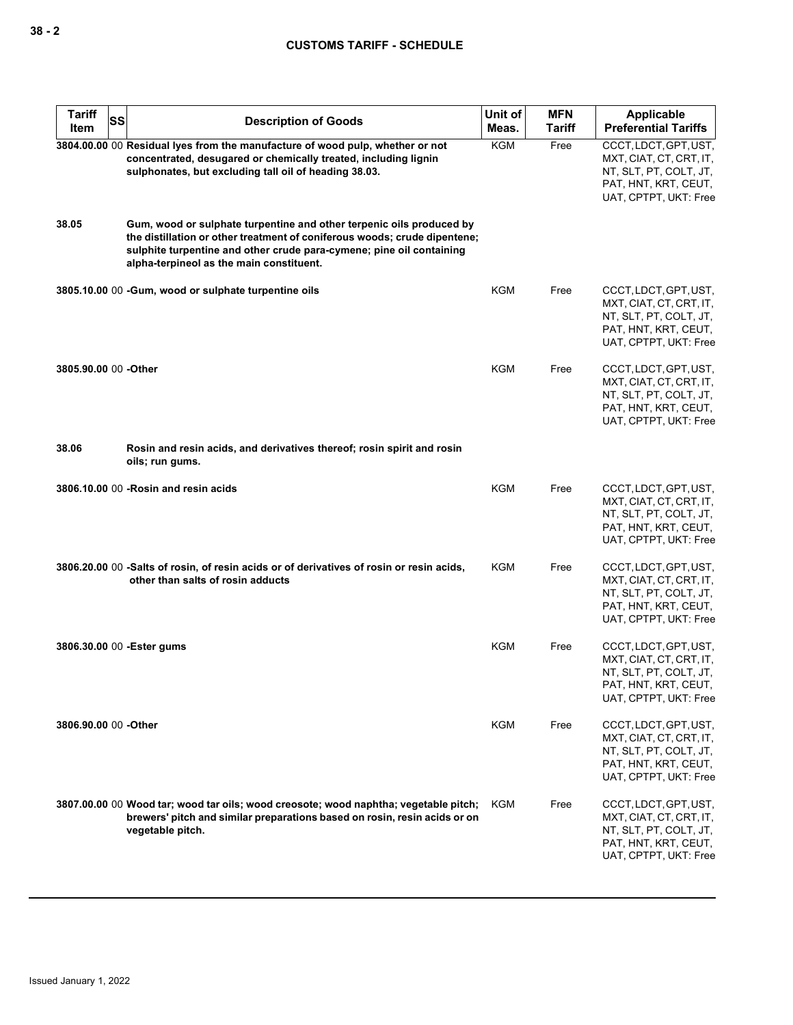| <b>Tariff</b><br>SS<br>Item | <b>Description of Goods</b>                                                                                                                                                                                                                                           | Unit of<br>Meas. | <b>MFN</b><br>Tariff | <b>Applicable</b><br><b>Preferential Tariffs</b>                                                                            |
|-----------------------------|-----------------------------------------------------------------------------------------------------------------------------------------------------------------------------------------------------------------------------------------------------------------------|------------------|----------------------|-----------------------------------------------------------------------------------------------------------------------------|
|                             | 3804.00.00 00 Residual lyes from the manufacture of wood pulp, whether or not<br>concentrated, desugared or chemically treated, including lignin<br>sulphonates, but excluding tall oil of heading 38.03.                                                             | <b>KGM</b>       | Free                 | CCCT, LDCT, GPT, UST,<br>MXT, CIAT, CT, CRT, IT,<br>NT, SLT, PT, COLT, JT,<br>PAT, HNT, KRT, CEUT,<br>UAT, CPTPT, UKT: Free |
| 38.05                       | Gum, wood or sulphate turpentine and other terpenic oils produced by<br>the distillation or other treatment of coniferous woods; crude dipentene;<br>sulphite turpentine and other crude para-cymene; pine oil containing<br>alpha-terpineol as the main constituent. |                  |                      |                                                                                                                             |
|                             | 3805.10.00 00 -Gum, wood or sulphate turpentine oils                                                                                                                                                                                                                  | <b>KGM</b>       | Free                 | CCCT, LDCT, GPT, UST,<br>MXT, CIAT, CT, CRT, IT,<br>NT, SLT, PT, COLT, JT,<br>PAT, HNT, KRT, CEUT,<br>UAT, CPTPT, UKT: Free |
| 3805.90.00 00 -Other        |                                                                                                                                                                                                                                                                       | KGM              | Free                 | CCCT, LDCT, GPT, UST,<br>MXT, CIAT, CT, CRT, IT,<br>NT, SLT, PT, COLT, JT,<br>PAT, HNT, KRT, CEUT,<br>UAT, CPTPT, UKT: Free |
| 38.06                       | Rosin and resin acids, and derivatives thereof; rosin spirit and rosin<br>oils; run gums.                                                                                                                                                                             |                  |                      |                                                                                                                             |
|                             | 3806.10.00 00 - Rosin and resin acids                                                                                                                                                                                                                                 | <b>KGM</b>       | Free                 | CCCT, LDCT, GPT, UST,<br>MXT, CIAT, CT, CRT, IT,<br>NT, SLT, PT, COLT, JT,<br>PAT, HNT, KRT, CEUT,<br>UAT, CPTPT, UKT: Free |
|                             | 3806.20.00 00 -Salts of rosin, of resin acids or of derivatives of rosin or resin acids,<br>other than salts of rosin adducts                                                                                                                                         | KGM              | Free                 | CCCT, LDCT, GPT, UST,<br>MXT, CIAT, CT, CRT, IT,<br>NT, SLT, PT, COLT, JT,<br>PAT, HNT, KRT, CEUT,<br>UAT, CPTPT, UKT: Free |
| 3806.30.00 00 - Ester gums  |                                                                                                                                                                                                                                                                       | <b>KGM</b>       | Free                 | CCCT, LDCT, GPT, UST,<br>MXT, CIAT, CT, CRT, IT,<br>NT, SLT, PT, COLT, JT,<br>PAT, HNT, KRT, CEUT,<br>UAT, CPTPT, UKT: Free |
| 3806.90.00 00 -Other        |                                                                                                                                                                                                                                                                       | <b>KGM</b>       | Free                 | CCCT, LDCT, GPT, UST,<br>MXT, CIAT, CT, CRT, IT,<br>NT, SLT, PT, COLT, JT,<br>PAT, HNT, KRT, CEUT,<br>UAT, CPTPT, UKT: Free |
|                             | 3807.00.00 00 Wood tar; wood tar oils; wood creosote; wood naphtha; vegetable pitch;<br>brewers' pitch and similar preparations based on rosin, resin acids or on<br>vegetable pitch.                                                                                 | KGM              | Free                 | CCCT, LDCT, GPT, UST,<br>MXT, CIAT, CT, CRT, IT,<br>NT, SLT, PT, COLT, JT,<br>PAT, HNT, KRT, CEUT,<br>UAT, CPTPT, UKT: Free |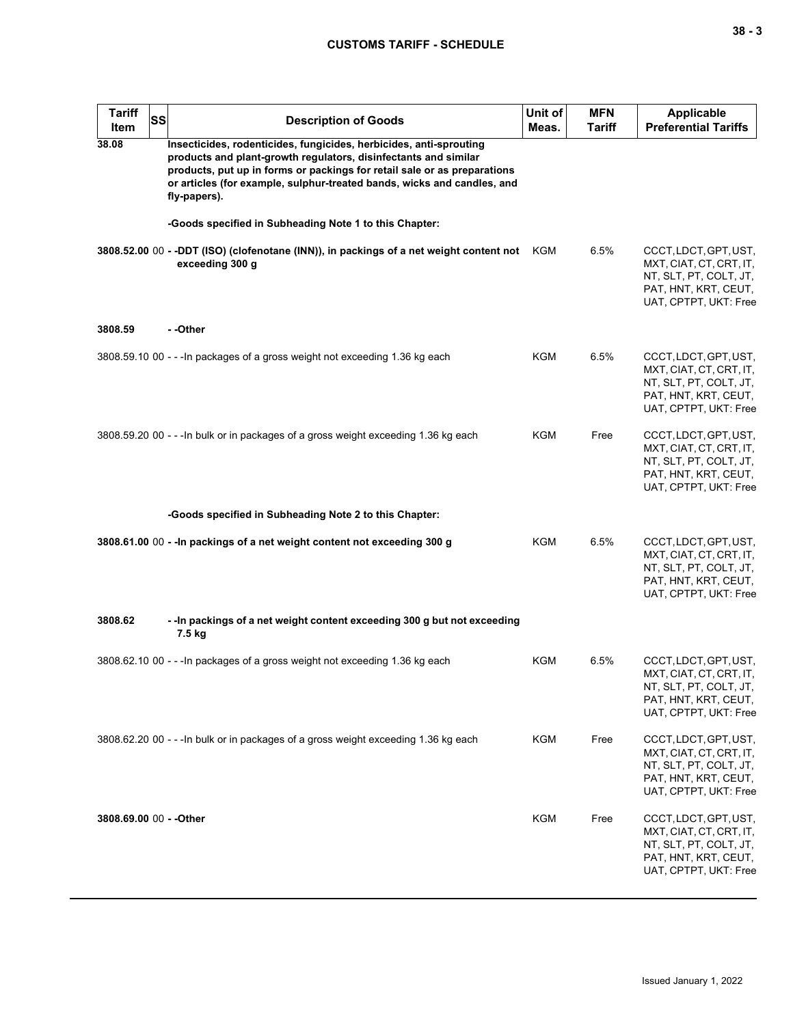| v<br>. . |  | $\overline{\phantom{a}}$ |
|----------|--|--------------------------|
|----------|--|--------------------------|

| <b>Tariff</b><br>Item   | <b>SS</b> | <b>Description of Goods</b>                                                                                                                                                                                                                                                                                  | Unit of<br>Meas. | <b>MFN</b><br><b>Tariff</b> | <b>Applicable</b><br><b>Preferential Tariffs</b>                                                                            |
|-------------------------|-----------|--------------------------------------------------------------------------------------------------------------------------------------------------------------------------------------------------------------------------------------------------------------------------------------------------------------|------------------|-----------------------------|-----------------------------------------------------------------------------------------------------------------------------|
| 38.08                   |           | Insecticides, rodenticides, fungicides, herbicides, anti-sprouting<br>products and plant-growth regulators, disinfectants and similar<br>products, put up in forms or packings for retail sale or as preparations<br>or articles (for example, sulphur-treated bands, wicks and candles, and<br>fly-papers). |                  |                             |                                                                                                                             |
|                         |           | -Goods specified in Subheading Note 1 to this Chapter:                                                                                                                                                                                                                                                       |                  |                             |                                                                                                                             |
|                         |           | 3808.52.00 00 - -DDT (ISO) (clofenotane (INN)), in packings of a net weight content not KGM<br>exceeding 300 g                                                                                                                                                                                               |                  | 6.5%                        | CCCT, LDCT, GPT, UST,<br>MXT, CIAT, CT, CRT, IT,<br>NT, SLT, PT, COLT, JT,<br>PAT, HNT, KRT, CEUT,<br>UAT, CPTPT, UKT: Free |
| 3808.59                 |           | --Other                                                                                                                                                                                                                                                                                                      |                  |                             |                                                                                                                             |
|                         |           | 3808.59.10 00 - - - In packages of a gross weight not exceeding 1.36 kg each                                                                                                                                                                                                                                 | KGM              | 6.5%                        | CCCT, LDCT, GPT, UST,<br>MXT, CIAT, CT, CRT, IT,<br>NT, SLT, PT, COLT, JT,<br>PAT, HNT, KRT, CEUT,<br>UAT, CPTPT, UKT: Free |
|                         |           | 3808.59.20 00 - - - In bulk or in packages of a gross weight exceeding 1.36 kg each                                                                                                                                                                                                                          | KGM              | Free                        | CCCT, LDCT, GPT, UST,<br>MXT, CIAT, CT, CRT, IT,<br>NT, SLT, PT, COLT, JT,<br>PAT, HNT, KRT, CEUT,<br>UAT, CPTPT, UKT: Free |
|                         |           | -Goods specified in Subheading Note 2 to this Chapter:                                                                                                                                                                                                                                                       |                  |                             |                                                                                                                             |
|                         |           | 3808.61.00 00 - - In packings of a net weight content not exceeding 300 g                                                                                                                                                                                                                                    | <b>KGM</b>       | 6.5%                        | CCCT, LDCT, GPT, UST,<br>MXT, CIAT, CT, CRT, IT,<br>NT, SLT, PT, COLT, JT,<br>PAT, HNT, KRT, CEUT,<br>UAT, CPTPT, UKT: Free |
| 3808.62                 |           | -- In packings of a net weight content exceeding 300 g but not exceeding<br>7.5 kg                                                                                                                                                                                                                           |                  |                             |                                                                                                                             |
|                         |           | 3808.62.10 00 - - - In packages of a gross weight not exceeding 1.36 kg each                                                                                                                                                                                                                                 | KGM              | 6.5%                        | CCCT, LDCT, GPT, UST,<br>MXT, CIAT, CT, CRT, IT,<br>NT, SLT, PT, COLT, JT,<br>PAT, HNT, KRT, CEUT,<br>UAT, CPTPT, UKT: Free |
|                         |           | 3808.62.20 00 - - - In bulk or in packages of a gross weight exceeding 1.36 kg each                                                                                                                                                                                                                          | <b>KGM</b>       | Free                        | CCCT, LDCT, GPT, UST,<br>MXT, CIAT, CT, CRT, IT,<br>NT, SLT, PT, COLT, JT,<br>PAT, HNT, KRT, CEUT,<br>UAT, CPTPT, UKT: Free |
| 3808.69.00 00 - - Other |           |                                                                                                                                                                                                                                                                                                              | KGM              | Free                        | CCCT, LDCT, GPT, UST,<br>MXT, CIAT, CT, CRT, IT,<br>NT, SLT, PT, COLT, JT,<br>PAT, HNT, KRT, CEUT,<br>UAT, CPTPT, UKT: Free |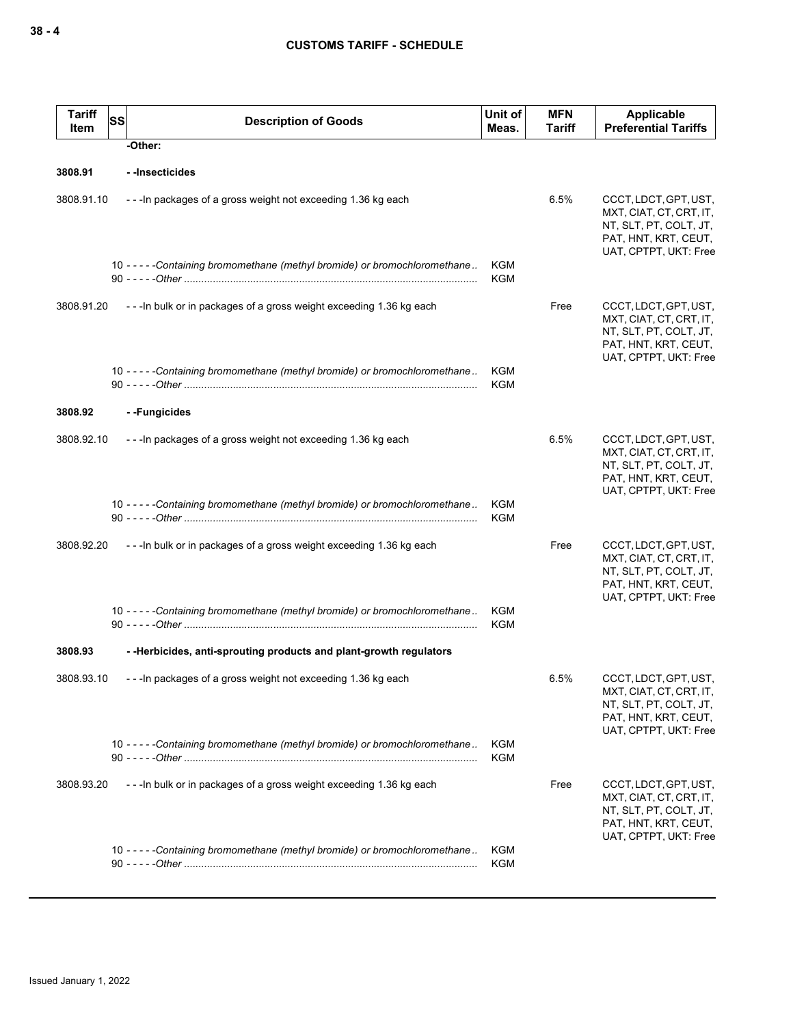| <b>Tariff</b><br>Item | <b>SS</b> | <b>Description of Goods</b>                                                 | Unit of<br>Meas.  | <b>MFN</b><br><b>Tariff</b> | <b>Applicable</b><br><b>Preferential Tariffs</b>                                                                            |
|-----------------------|-----------|-----------------------------------------------------------------------------|-------------------|-----------------------------|-----------------------------------------------------------------------------------------------------------------------------|
|                       |           | -Other:                                                                     |                   |                             |                                                                                                                             |
| 3808.91               |           | --Insecticides                                                              |                   |                             |                                                                                                                             |
| 3808.91.10            |           | --- In packages of a gross weight not exceeding 1.36 kg each                |                   | 6.5%                        | CCCT, LDCT, GPT, UST,<br>MXT, CIAT, CT, CRT, IT,<br>NT, SLT, PT, COLT, JT,<br>PAT, HNT, KRT, CEUT,<br>UAT, CPTPT, UKT: Free |
|                       |           | 10 - - - - - Containing bromomethane (methyl bromide) or bromochloromethane | KGM<br>KGM        |                             |                                                                                                                             |
| 3808.91.20            |           | --- In bulk or in packages of a gross weight exceeding 1.36 kg each         |                   | Free                        | CCCT, LDCT, GPT, UST,<br>MXT, CIAT, CT, CRT, IT,<br>NT, SLT, PT, COLT, JT,<br>PAT, HNT, KRT, CEUT,<br>UAT, CPTPT, UKT: Free |
|                       |           | 10 - - - - - Containing bromomethane (methyl bromide) or bromochloromethane | KGM<br>KGM        |                             |                                                                                                                             |
| 3808.92               |           | --Fungicides                                                                |                   |                             |                                                                                                                             |
| 3808.92.10            |           | --- In packages of a gross weight not exceeding 1.36 kg each                |                   | 6.5%                        | CCCT, LDCT, GPT, UST,<br>MXT, CIAT, CT, CRT, IT,<br>NT, SLT, PT, COLT, JT,<br>PAT, HNT, KRT, CEUT,<br>UAT, CPTPT, UKT: Free |
|                       |           | 10 - - - - - Containing bromomethane (methyl bromide) or bromochloromethane | KGM<br>KGM        |                             |                                                                                                                             |
| 3808.92.20            |           | --- In bulk or in packages of a gross weight exceeding 1.36 kg each         |                   | Free                        | CCCT, LDCT, GPT, UST,<br>MXT, CIAT, CT, CRT, IT,<br>NT, SLT, PT, COLT, JT,<br>PAT, HNT, KRT, CEUT,<br>UAT, CPTPT, UKT: Free |
|                       |           | 10 - - - - - Containing bromomethane (methyl bromide) or bromochloromethane | KGM<br><b>KGM</b> |                             |                                                                                                                             |
| 3808.93               |           | --Herbicides, anti-sprouting products and plant-growth regulators           |                   |                             |                                                                                                                             |
| 3808.93.10            |           | --- In packages of a gross weight not exceeding 1.36 kg each                |                   | 6.5%                        | CCCT, LDCT, GPT, UST,<br>MXT, CIAT, CT, CRT, IT,<br>NT, SLT, PT, COLT, JT,<br>PAT, HNT, KRT, CEUT,<br>UAT, CPTPT, UKT: Free |
|                       |           | 10 - - - - - Containing bromomethane (methyl bromide) or bromochloromethane | KGM<br>KGM        |                             |                                                                                                                             |
| 3808.93.20            |           | --- In bulk or in packages of a gross weight exceeding 1.36 kg each         |                   | Free                        | CCCT, LDCT, GPT, UST,<br>MXT, CIAT, CT, CRT, IT,<br>NT, SLT, PT, COLT, JT,<br>PAT, HNT, KRT, CEUT,<br>UAT, CPTPT, UKT: Free |
|                       |           | 10 - - - - - Containing bromomethane (methyl bromide) or bromochloromethane | KGM<br>KGM        |                             |                                                                                                                             |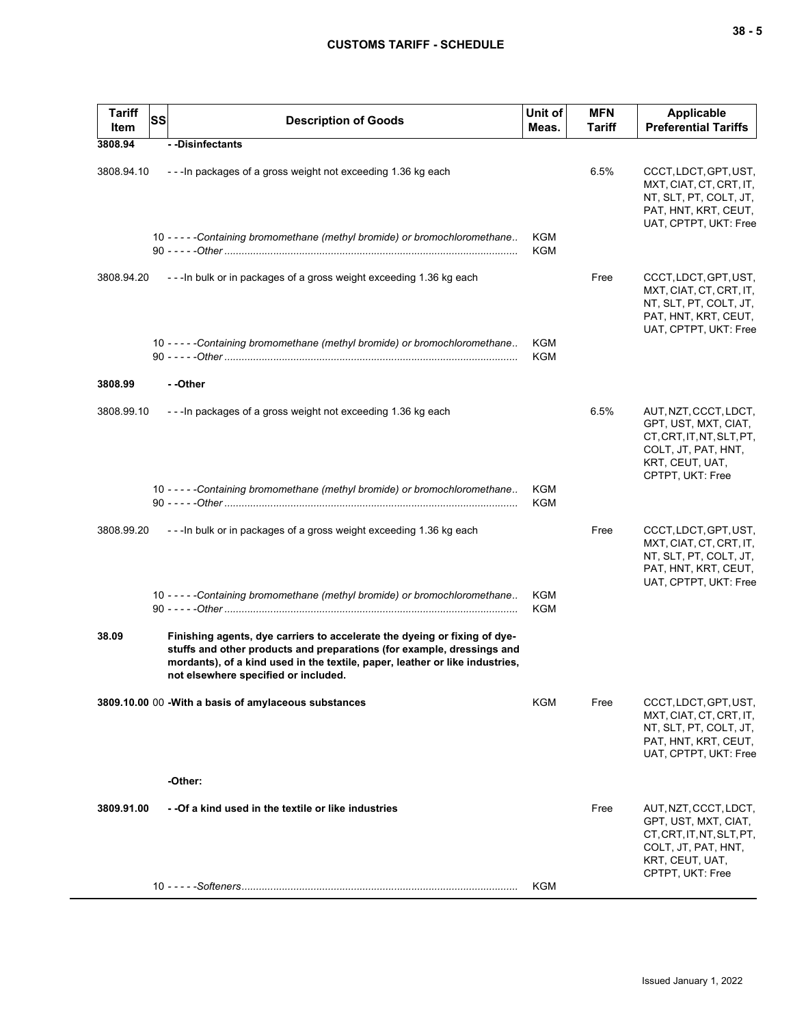| <b>Tariff</b><br>Item | SS | <b>Description of Goods</b>                                                                                                                                                                                                                                                 | Unit of<br>Meas.  | <b>MFN</b><br>Tariff | Applicable<br><b>Preferential Tariffs</b>                                                                                                |
|-----------------------|----|-----------------------------------------------------------------------------------------------------------------------------------------------------------------------------------------------------------------------------------------------------------------------------|-------------------|----------------------|------------------------------------------------------------------------------------------------------------------------------------------|
| 3808.94               |    | --Disinfectants                                                                                                                                                                                                                                                             |                   |                      |                                                                                                                                          |
| 3808.94.10            |    | - - - In packages of a gross weight not exceeding 1.36 kg each                                                                                                                                                                                                              |                   | 6.5%                 | CCCT, LDCT, GPT, UST,<br>MXT, CIAT, CT, CRT, IT,<br>NT, SLT, PT, COLT, JT,<br>PAT, HNT, KRT, CEUT,<br>UAT, CPTPT, UKT: Free              |
|                       |    | 10 - - - - - Containing bromomethane (methyl bromide) or bromochloromethane                                                                                                                                                                                                 | <b>KGM</b><br>KGM |                      |                                                                                                                                          |
| 3808.94.20            |    | --- In bulk or in packages of a gross weight exceeding 1.36 kg each                                                                                                                                                                                                         |                   | Free                 | CCCT, LDCT, GPT, UST,<br>MXT, CIAT, CT, CRT, IT,<br>NT, SLT, PT, COLT, JT,<br>PAT, HNT, KRT, CEUT,<br>UAT, CPTPT, UKT: Free              |
|                       |    | 10 - - - - - Containing bromomethane (methyl bromide) or bromochloromethane                                                                                                                                                                                                 | KGM<br>KGM        |                      |                                                                                                                                          |
| 3808.99               |    | - -Other                                                                                                                                                                                                                                                                    |                   |                      |                                                                                                                                          |
| 3808.99.10            |    | --- In packages of a gross weight not exceeding 1.36 kg each                                                                                                                                                                                                                |                   | 6.5%                 | AUT, NZT, CCCT, LDCT,<br>GPT, UST, MXT, CIAT,<br>CT, CRT, IT, NT, SLT, PT,<br>COLT, JT, PAT, HNT,<br>KRT, CEUT, UAT,<br>CPTPT, UKT: Free |
|                       |    | 10 - - - - - Containing bromomethane (methyl bromide) or bromochloromethane                                                                                                                                                                                                 | KGM<br>KGM        |                      |                                                                                                                                          |
| 3808.99.20            |    | --- In bulk or in packages of a gross weight exceeding 1.36 kg each                                                                                                                                                                                                         |                   | Free                 | CCCT, LDCT, GPT, UST,<br>MXT, CIAT, CT, CRT, IT,<br>NT, SLT, PT, COLT, JT,<br>PAT, HNT, KRT, CEUT,<br>UAT, CPTPT, UKT: Free              |
|                       |    | 10 - - - - - Containing bromomethane (methyl bromide) or bromochloromethane                                                                                                                                                                                                 | KGM<br>KGM        |                      |                                                                                                                                          |
| 38.09                 |    | Finishing agents, dye carriers to accelerate the dyeing or fixing of dye-<br>stuffs and other products and preparations (for example, dressings and<br>mordants), of a kind used in the textile, paper, leather or like industries,<br>not elsewhere specified or included. |                   |                      |                                                                                                                                          |
|                       |    | 3809.10.00 00 - With a basis of amylaceous substances                                                                                                                                                                                                                       | KGM               | Free                 | CCCT, LDCT, GPT, UST,<br>MXT, CIAT, CT, CRT, IT,<br>NT, SLT, PT, COLT, JT,<br>PAT, HNT, KRT, CEUT,<br>UAT, CPTPT, UKT: Free              |
|                       |    | -Other:                                                                                                                                                                                                                                                                     |                   |                      |                                                                                                                                          |
| 3809.91.00            |    | - -Of a kind used in the textile or like industries                                                                                                                                                                                                                         |                   | Free                 | AUT, NZT, CCCT, LDCT,<br>GPT, UST, MXT, CIAT,<br>CT.CRT.IT.NT.SLT.PT.<br>COLT, JT, PAT, HNT,<br>KRT, CEUT, UAT,<br>CPTPT, UKT: Free      |
|                       |    |                                                                                                                                                                                                                                                                             | KGM               |                      |                                                                                                                                          |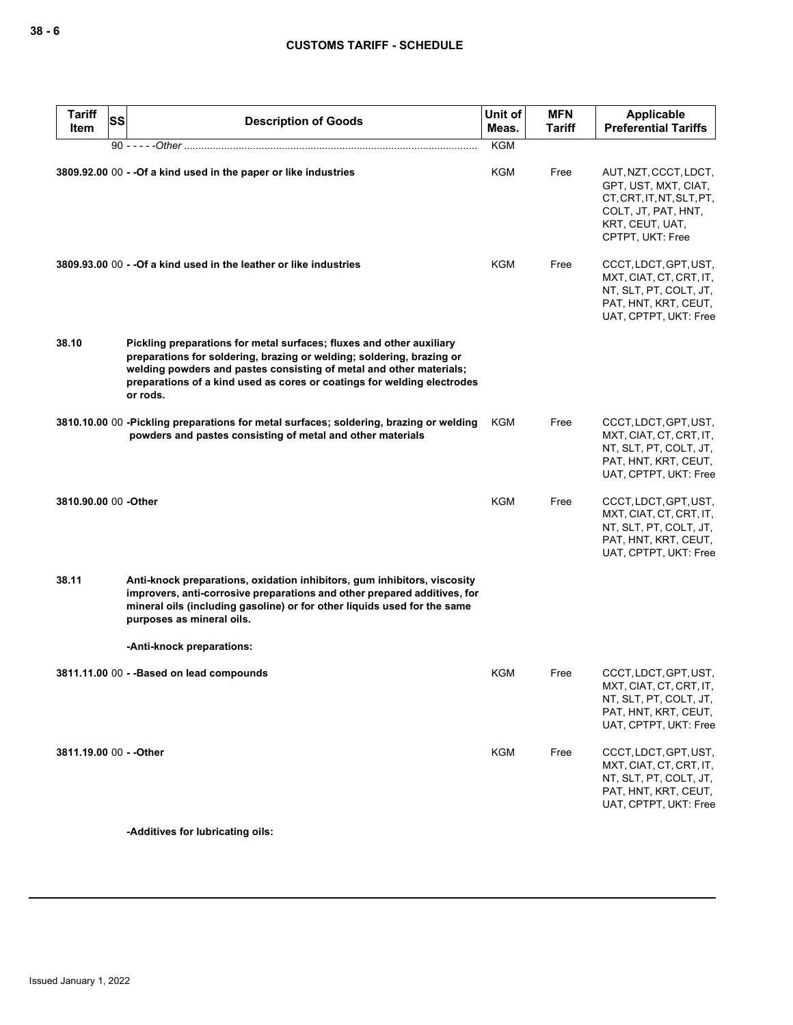| Tariff<br>Item          | SS | <b>Description of Goods</b>                                                                                                                                                                                                                                                                                 | Unit of<br>Meas. | <b>MFN</b><br>Tariff | Applicable<br><b>Preferential Tariffs</b>                                                                                           |
|-------------------------|----|-------------------------------------------------------------------------------------------------------------------------------------------------------------------------------------------------------------------------------------------------------------------------------------------------------------|------------------|----------------------|-------------------------------------------------------------------------------------------------------------------------------------|
|                         |    | 90 - - - - - Other ………………………………………………………………………………………                                                                                                                                                                                                                                                        | <b>KGM</b>       |                      |                                                                                                                                     |
|                         |    | 3809.92.00 00 - - Of a kind used in the paper or like industries                                                                                                                                                                                                                                            | KGM              | Free                 | AUT, NZT, CCCT, LDCT,<br>GPT, UST, MXT, CIAT,<br>CT.CRT.IT.NT.SLT.PT.<br>COLT, JT, PAT, HNT,<br>KRT, CEUT, UAT,<br>CPTPT, UKT: Free |
|                         |    | 3809.93.00 00 - - Of a kind used in the leather or like industries                                                                                                                                                                                                                                          | KGM              | Free                 | CCCT, LDCT, GPT, UST,<br>MXT, CIAT, CT, CRT, IT,<br>NT, SLT, PT, COLT, JT,<br>PAT, HNT, KRT, CEUT,<br>UAT, CPTPT, UKT: Free         |
| 38.10                   |    | Pickling preparations for metal surfaces; fluxes and other auxiliary<br>preparations for soldering, brazing or welding; soldering, brazing or<br>welding powders and pastes consisting of metal and other materials;<br>preparations of a kind used as cores or coatings for welding electrodes<br>or rods. |                  |                      |                                                                                                                                     |
|                         |    | 3810.10.00 00 -Pickling preparations for metal surfaces; soldering, brazing or welding<br>powders and pastes consisting of metal and other materials                                                                                                                                                        | KGM              | Free                 | CCCT, LDCT, GPT, UST,<br>MXT, CIAT, CT, CRT, IT,<br>NT, SLT, PT, COLT, JT,<br>PAT, HNT, KRT, CEUT,<br>UAT, CPTPT, UKT: Free         |
| 3810.90.00 00 - Other   |    |                                                                                                                                                                                                                                                                                                             | KGM              | Free                 | CCCT, LDCT, GPT, UST,<br>MXT, CIAT, CT, CRT, IT,<br>NT, SLT, PT, COLT, JT,<br>PAT, HNT, KRT, CEUT,<br>UAT, CPTPT, UKT: Free         |
| 38.11                   |    | Anti-knock preparations, oxidation inhibitors, gum inhibitors, viscosity<br>improvers, anti-corrosive preparations and other prepared additives, for<br>mineral oils (including gasoline) or for other liquids used for the same<br>purposes as mineral oils.                                               |                  |                      |                                                                                                                                     |
|                         |    | -Anti-knock preparations:                                                                                                                                                                                                                                                                                   |                  |                      |                                                                                                                                     |
|                         |    | 3811.11.00 00 - - Based on lead compounds                                                                                                                                                                                                                                                                   | <b>KGM</b>       | Free                 | CCCT, LDCT, GPT, UST,<br>MXT, CIAT, CT, CRT, IT,<br>NT, SLT, PT, COLT, JT,<br>PAT, HNT, KRT, CEUT,<br>UAT, CPTPT, UKT: Free         |
| 3811.19.00 00 - - Other |    |                                                                                                                                                                                                                                                                                                             | <b>KGM</b>       | Free                 | CCCT, LDCT, GPT, UST,<br>MXT, CIAT, CT, CRT, IT,<br>NT, SLT, PT, COLT, JT,<br>PAT, HNT, KRT, CEUT,<br>UAT, CPTPT, UKT: Free         |

**-Additives for lubricating oils:**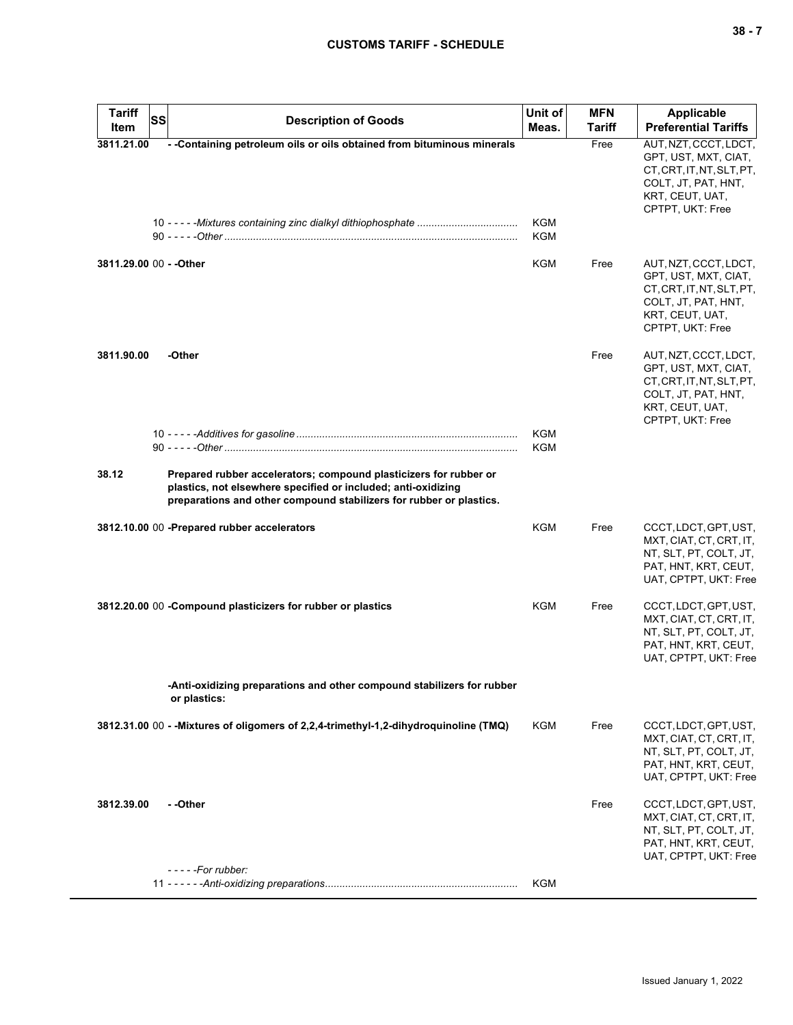| I<br>$-$<br>$\overline{\phantom{a}}$ |  |  |
|--------------------------------------|--|--|
|--------------------------------------|--|--|

| <b>Tariff</b><br>Item | <b>SS</b><br><b>Description of Goods</b>                                                                                                                                                                  | Unit of<br>Meas.         | <b>MFN</b><br>Tariff | Applicable<br><b>Preferential Tariffs</b>                                                                                                |
|-----------------------|-----------------------------------------------------------------------------------------------------------------------------------------------------------------------------------------------------------|--------------------------|----------------------|------------------------------------------------------------------------------------------------------------------------------------------|
| 3811.21.00            | - -Containing petroleum oils or oils obtained from bituminous minerals                                                                                                                                    |                          | Free                 | AUT, NZT, CCCT, LDCT,<br>GPT, UST, MXT, CIAT,<br>CT.CRT.IT.NT.SLT.PT.<br>COLT, JT, PAT, HNT,<br>KRT, CEUT, UAT,                          |
|                       |                                                                                                                                                                                                           | KGM<br><b>KGM</b>        |                      | CPTPT, UKT: Free                                                                                                                         |
|                       | 3811.29.00 00 - - Other                                                                                                                                                                                   | <b>KGM</b>               | Free                 | AUT, NZT, CCCT, LDCT,<br>GPT, UST, MXT, CIAT,<br>CT, CRT, IT, NT, SLT, PT,<br>COLT, JT, PAT, HNT,<br>KRT, CEUT, UAT,<br>CPTPT, UKT: Free |
| 3811.90.00            | -Other                                                                                                                                                                                                    |                          | Free                 | AUT, NZT, CCCT, LDCT,<br>GPT, UST, MXT, CIAT,<br>CT, CRT, IT, NT, SLT, PT,<br>COLT, JT, PAT, HNT,<br>KRT, CEUT, UAT,<br>CPTPT, UKT: Free |
|                       |                                                                                                                                                                                                           | <b>KGM</b><br><b>KGM</b> |                      |                                                                                                                                          |
| 38.12                 | Prepared rubber accelerators; compound plasticizers for rubber or<br>plastics, not elsewhere specified or included; anti-oxidizing<br>preparations and other compound stabilizers for rubber or plastics. |                          |                      |                                                                                                                                          |
|                       | 3812.10.00 00 -Prepared rubber accelerators                                                                                                                                                               | <b>KGM</b>               | Free                 | CCCT, LDCT, GPT, UST,<br>MXT, CIAT, CT, CRT, IT,<br>NT, SLT, PT, COLT, JT,<br>PAT, HNT, KRT, CEUT,<br>UAT, CPTPT, UKT: Free              |
|                       | 3812.20.00 00 -Compound plasticizers for rubber or plastics                                                                                                                                               | KGM                      | Free                 | CCCT, LDCT, GPT, UST,<br>MXT, CIAT, CT, CRT, IT,<br>NT, SLT, PT, COLT, JT,<br>PAT, HNT, KRT, CEUT,<br>UAT, CPTPT, UKT: Free              |
|                       | -Anti-oxidizing preparations and other compound stabilizers for rubber<br>or plastics:                                                                                                                    |                          |                      |                                                                                                                                          |
|                       | 3812.31.00 00 - - Mixtures of oligomers of 2,2,4-trimethyl-1,2-dihydroquinoline (TMQ)                                                                                                                     | KGM                      | Free                 | CCCT, LDCT, GPT, UST,<br>MXT, CIAT, CT, CRT, IT,<br>NT, SLT, PT, COLT, JT,<br>PAT, HNT, KRT, CEUT,<br>UAT, CPTPT, UKT: Free              |
| 3812.39.00            | - -Other                                                                                                                                                                                                  |                          | Free                 | CCCT, LDCT, GPT, UST,<br>MXT, CIAT, CT, CRT, IT,<br>NT, SLT, PT, COLT, JT,<br>PAT, HNT, KRT, CEUT,<br>UAT, CPTPT, UKT: Free              |
|                       | $---For rubber:$                                                                                                                                                                                          | <b>KGM</b>               |                      |                                                                                                                                          |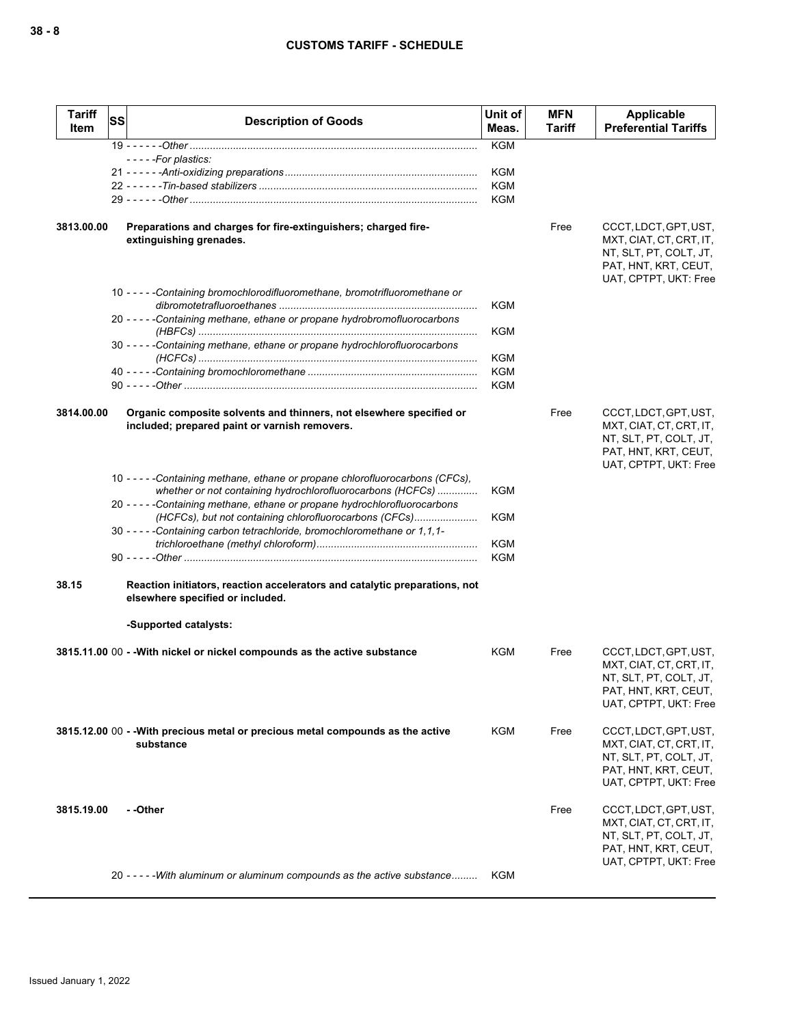| <b>Tariff</b><br>Item | SS | <b>Description of Goods</b>                                                                                                                  | Unit of<br>Meas.  | <b>MFN</b><br>Tariff | Applicable<br><b>Preferential Tariffs</b>                                                                                   |
|-----------------------|----|----------------------------------------------------------------------------------------------------------------------------------------------|-------------------|----------------------|-----------------------------------------------------------------------------------------------------------------------------|
|                       |    |                                                                                                                                              | <b>KGM</b>        |                      |                                                                                                                             |
|                       |    | -----For plastics:                                                                                                                           |                   |                      |                                                                                                                             |
|                       |    |                                                                                                                                              | KGM               |                      |                                                                                                                             |
|                       |    |                                                                                                                                              | KGM<br><b>KGM</b> |                      |                                                                                                                             |
|                       |    |                                                                                                                                              |                   |                      |                                                                                                                             |
| 3813.00.00            |    | Preparations and charges for fire-extinguishers; charged fire-<br>extinguishing grenades.                                                    |                   | Free                 | CCCT, LDCT, GPT, UST,<br>MXT, CIAT, CT, CRT, IT,<br>NT, SLT, PT, COLT, JT,<br>PAT, HNT, KRT, CEUT,<br>UAT, CPTPT, UKT: Free |
|                       |    | 10 -----Containing bromochlorodifluoromethane, bromotrifluoromethane or                                                                      | <b>KGM</b>        |                      |                                                                                                                             |
|                       |    | 20 - - - - - Containing methane, ethane or propane hydrobromofluorocarbons                                                                   | <b>KGM</b>        |                      |                                                                                                                             |
|                       |    | 30 - - - - - Containing methane, ethane or propane hydrochlorofluorocarbons                                                                  |                   |                      |                                                                                                                             |
|                       |    |                                                                                                                                              | <b>KGM</b>        |                      |                                                                                                                             |
|                       |    |                                                                                                                                              | <b>KGM</b>        |                      |                                                                                                                             |
|                       |    |                                                                                                                                              | <b>KGM</b>        |                      |                                                                                                                             |
| 3814.00.00            |    | Organic composite solvents and thinners, not elsewhere specified or<br>included; prepared paint or varnish removers.                         |                   | Free                 | CCCT, LDCT, GPT, UST,<br>MXT, CIAT, CT, CRT, IT,<br>NT, SLT, PT, COLT, JT,<br>PAT, HNT, KRT, CEUT,<br>UAT, CPTPT, UKT: Free |
|                       |    | 10 - - - - - Containing methane, ethane or propane chlorofluorocarbons (CFCs),<br>whether or not containing hydrochlorofluorocarbons (HCFCs) | KGM               |                      |                                                                                                                             |
|                       |    | 20 - - - - - Containing methane, ethane or propane hydrochlorofluorocarbons<br>(HCFCs), but not containing chlorofluorocarbons (CFCs)        | <b>KGM</b>        |                      |                                                                                                                             |
|                       |    | 30 - - - - - Containing carbon tetrachloride, bromochloromethane or 1, 1, 1-                                                                 |                   |                      |                                                                                                                             |
|                       |    |                                                                                                                                              | <b>KGM</b>        |                      |                                                                                                                             |
|                       |    |                                                                                                                                              | <b>KGM</b>        |                      |                                                                                                                             |
| 38.15                 |    | Reaction initiators, reaction accelerators and catalytic preparations, not<br>elsewhere specified or included.                               |                   |                      |                                                                                                                             |
|                       |    | -Supported catalysts:                                                                                                                        |                   |                      |                                                                                                                             |
|                       |    | 3815.11.00 00 - - With nickel or nickel compounds as the active substance                                                                    | KGM               | Free                 | CCCT, LDCT, GPT, UST,<br>MXT, CIAT, CT, CRT, IT,<br>NT, SLT, PT, COLT, JT,<br>PAT, HNT, KRT, CEUT,<br>UAT, CPTPT, UKT: Free |
|                       |    | 3815.12.00 00 - -With precious metal or precious metal compounds as the active<br>substance                                                  | KGM               | Free                 | CCCT, LDCT, GPT, UST,<br>MXT, CIAT, CT, CRT, IT,<br>NT, SLT, PT, COLT, JT,<br>PAT, HNT, KRT, CEUT,<br>UAT, CPTPT, UKT: Free |
| 3815.19.00            |    | - -Other                                                                                                                                     |                   | Free                 | CCCT, LDCT, GPT, UST,<br>MXT, CIAT, CT, CRT, IT,<br>NT, SLT, PT, COLT, JT,<br>PAT, HNT, KRT, CEUT,<br>UAT, CPTPT, UKT: Free |
|                       |    | 20 - - - - - With aluminum or aluminum compounds as the active substance                                                                     | KGM               |                      |                                                                                                                             |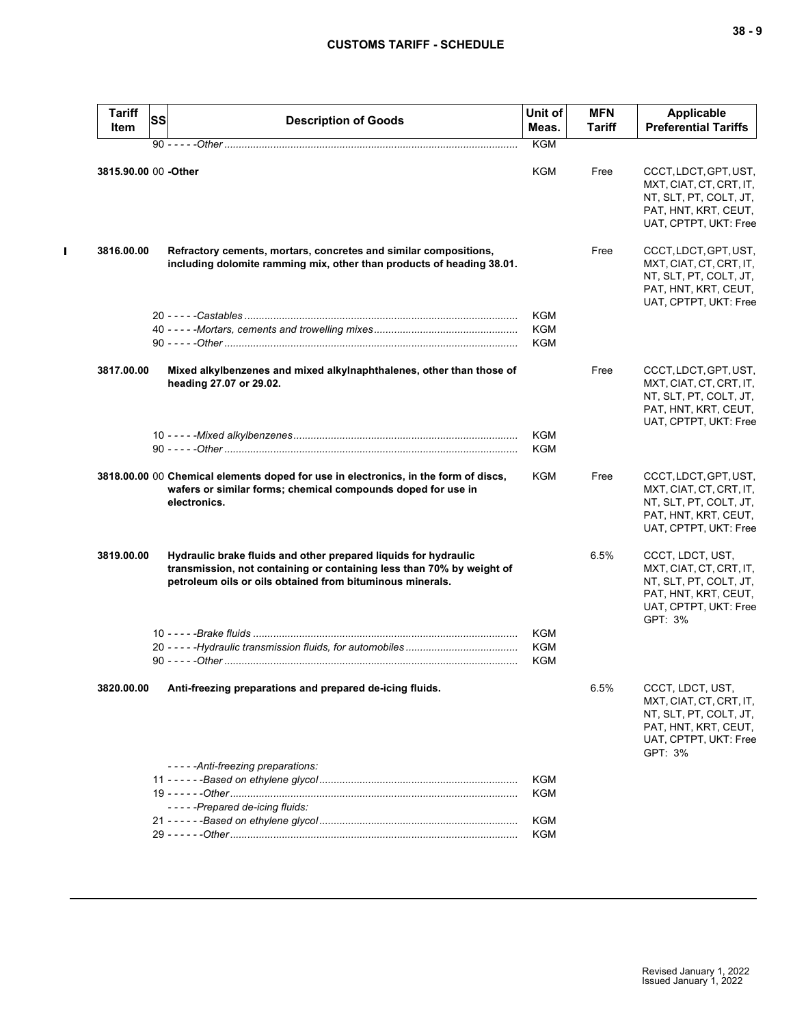$\mathbf{I}$ 

| <b>Tariff</b><br>Item | SS | <b>Description of Goods</b>                                                                                                                                                                           | Unit of<br>Meas.  | <b>MFN</b><br>Tariff | Applicable<br><b>Preferential Tariffs</b>                                                                                         |
|-----------------------|----|-------------------------------------------------------------------------------------------------------------------------------------------------------------------------------------------------------|-------------------|----------------------|-----------------------------------------------------------------------------------------------------------------------------------|
|                       |    |                                                                                                                                                                                                       | <b>KGM</b>        |                      |                                                                                                                                   |
| 3815.90.00 00 -Other  |    |                                                                                                                                                                                                       | KGM               | Free                 | CCCT, LDCT, GPT, UST,<br>MXT, CIAT, CT, CRT, IT,<br>NT, SLT, PT, COLT, JT,<br>PAT, HNT, KRT, CEUT,<br>UAT, CPTPT, UKT: Free       |
| 3816.00.00            |    | Refractory cements, mortars, concretes and similar compositions,<br>including dolomite ramming mix, other than products of heading 38.01.                                                             |                   | Free                 | CCCT, LDCT, GPT, UST,<br>MXT, CIAT, CT, CRT, IT,<br>NT, SLT, PT, COLT, JT,<br>PAT, HNT, KRT, CEUT,<br>UAT, CPTPT, UKT: Free       |
|                       |    |                                                                                                                                                                                                       | KGM               |                      |                                                                                                                                   |
|                       |    |                                                                                                                                                                                                       | <b>KGM</b>        |                      |                                                                                                                                   |
|                       |    |                                                                                                                                                                                                       | <b>KGM</b>        |                      |                                                                                                                                   |
| 3817.00.00            |    | Mixed alkylbenzenes and mixed alkylnaphthalenes, other than those of<br>heading 27.07 or 29.02.                                                                                                       |                   | Free                 | CCCT, LDCT, GPT, UST,<br>MXT, CIAT, CT, CRT, IT,<br>NT, SLT, PT, COLT, JT,<br>PAT, HNT, KRT, CEUT,<br>UAT, CPTPT, UKT: Free       |
|                       |    |                                                                                                                                                                                                       | <b>KGM</b><br>KGM |                      |                                                                                                                                   |
|                       |    | 3818.00.00 00 Chemical elements doped for use in electronics, in the form of discs,<br>wafers or similar forms; chemical compounds doped for use in<br>electronics.                                   | KGM               | Free                 | CCCT, LDCT, GPT, UST,<br>MXT, CIAT, CT, CRT, IT,<br>NT, SLT, PT, COLT, JT,<br>PAT, HNT, KRT, CEUT,<br>UAT, CPTPT, UKT: Free       |
| 3819.00.00            |    | Hydraulic brake fluids and other prepared liquids for hydraulic<br>transmission, not containing or containing less than 70% by weight of<br>petroleum oils or oils obtained from bituminous minerals. |                   | 6.5%                 | CCCT, LDCT, UST,<br>MXT, CIAT, CT, CRT, IT,<br>NT, SLT, PT, COLT, JT,<br>PAT, HNT, KRT, CEUT,<br>UAT, CPTPT, UKT: Free<br>GPT: 3% |
|                       |    |                                                                                                                                                                                                       | KGM               |                      |                                                                                                                                   |
|                       |    |                                                                                                                                                                                                       | KGM               |                      |                                                                                                                                   |
|                       |    |                                                                                                                                                                                                       | <b>KGM</b>        |                      |                                                                                                                                   |
| 3820.00.00            |    | Anti-freezing preparations and prepared de-icing fluids.<br>-----Anti-freezing preparations:                                                                                                          |                   | 6.5%                 | CCCT, LDCT, UST,<br>MXT, CIAT, CT, CRT, IT,<br>NT, SLT, PT, COLT, JT,<br>PAT, HNT, KRT, CEUT,<br>UAT, CPTPT, UKT: Free<br>GPT: 3% |
|                       |    |                                                                                                                                                                                                       | KGM               |                      |                                                                                                                                   |
|                       |    | -----Prepared de-icing fluids:                                                                                                                                                                        | KGM               |                      |                                                                                                                                   |
|                       |    |                                                                                                                                                                                                       | KGM               |                      |                                                                                                                                   |
|                       |    |                                                                                                                                                                                                       |                   |                      |                                                                                                                                   |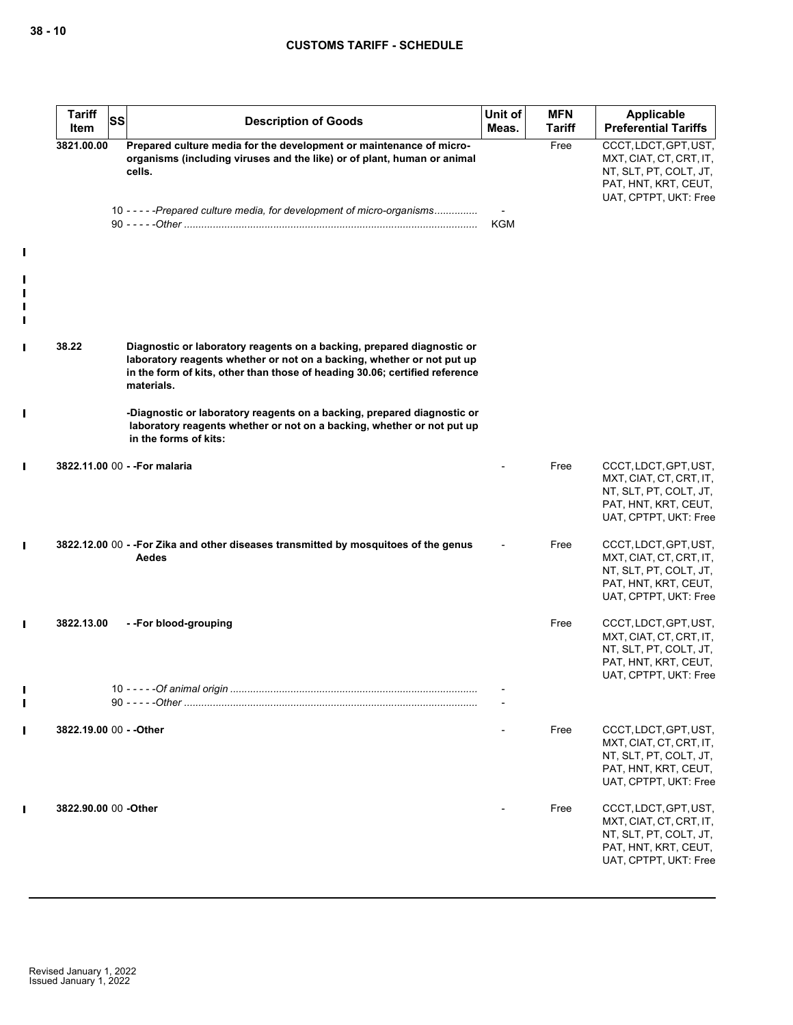|                                 | <b>Tariff</b><br>Item   | <b>SS</b> | <b>Description of Goods</b>                                                                                                                                                                                                                   | Unit of<br>Meas. | <b>MFN</b><br><b>Tariff</b> | <b>Applicable</b><br><b>Preferential Tariffs</b>                                                                            |
|---------------------------------|-------------------------|-----------|-----------------------------------------------------------------------------------------------------------------------------------------------------------------------------------------------------------------------------------------------|------------------|-----------------------------|-----------------------------------------------------------------------------------------------------------------------------|
|                                 | 3821.00.00              |           | Prepared culture media for the development or maintenance of micro-<br>organisms (including viruses and the like) or of plant, human or animal<br>cells.                                                                                      |                  | Free                        | CCCT, LDCT, GPT, UST,<br>MXT, CIAT, CT, CRT, IT,<br>NT, SLT, PT, COLT, JT,<br>PAT, HNT, KRT, CEUT,<br>UAT, CPTPT, UKT: Free |
|                                 |                         |           | 10 - - - - - Prepared culture media, for development of micro-organisms                                                                                                                                                                       | KGM              |                             |                                                                                                                             |
| $\mathbf I$                     |                         |           |                                                                                                                                                                                                                                               |                  |                             |                                                                                                                             |
| $\mathbf I$<br>П<br>$\mathbf I$ |                         |           |                                                                                                                                                                                                                                               |                  |                             |                                                                                                                             |
| $\mathbf I$                     | 38.22                   |           | Diagnostic or laboratory reagents on a backing, prepared diagnostic or<br>laboratory reagents whether or not on a backing, whether or not put up<br>in the form of kits, other than those of heading 30.06; certified reference<br>materials. |                  |                             |                                                                                                                             |
| $\mathbf I$                     |                         |           | -Diagnostic or laboratory reagents on a backing, prepared diagnostic or<br>laboratory reagents whether or not on a backing, whether or not put up<br>in the forms of kits:                                                                    |                  |                             |                                                                                                                             |
| $\mathbf{I}$                    |                         |           | 3822.11.00 00 - - For malaria                                                                                                                                                                                                                 |                  | Free                        | CCCT, LDCT, GPT, UST,<br>MXT, CIAT, CT, CRT, IT,<br>NT, SLT, PT, COLT, JT,<br>PAT, HNT, KRT, CEUT,<br>UAT, CPTPT, UKT: Free |
| $\mathbf{I}$                    |                         |           | 3822.12.00 00 - -For Zika and other diseases transmitted by mosquitoes of the genus<br>Aedes                                                                                                                                                  |                  | Free                        | CCCT, LDCT, GPT, UST,<br>MXT, CIAT, CT, CRT, IT,<br>NT, SLT, PT, COLT, JT,<br>PAT, HNT, KRT, CEUT,<br>UAT, CPTPT, UKT: Free |
| $\mathbf{I}$                    | 3822.13.00              |           | --For blood-grouping                                                                                                                                                                                                                          |                  | Free                        | CCCT, LDCT, GPT, UST,<br>MXT, CIAT, CT, CRT, IT,<br>NT, SLT, PT, COLT, JT,<br>PAT, HNT, KRT, CEUT,<br>UAT, CPTPT, UKT: Free |
|                                 |                         |           |                                                                                                                                                                                                                                               |                  |                             |                                                                                                                             |
| $\mathbf{I}$                    | 3822.19.00 00 - - Other |           |                                                                                                                                                                                                                                               |                  | Free                        | CCCT, LDCT, GPT, UST,<br>MXT, CIAT, CT, CRT, IT,<br>NT, SLT, PT, COLT, JT,<br>PAT, HNT, KRT, CEUT,<br>UAT, CPTPT, UKT: Free |
| $\mathbf I$                     | 3822.90.00 00 - Other   |           |                                                                                                                                                                                                                                               |                  | Free                        | CCCT, LDCT, GPT, UST,<br>MXT, CIAT, CT, CRT, IT,<br>NT, SLT, PT, COLT, JT,<br>PAT, HNT, KRT, CEUT,<br>UAT, CPTPT, UKT: Free |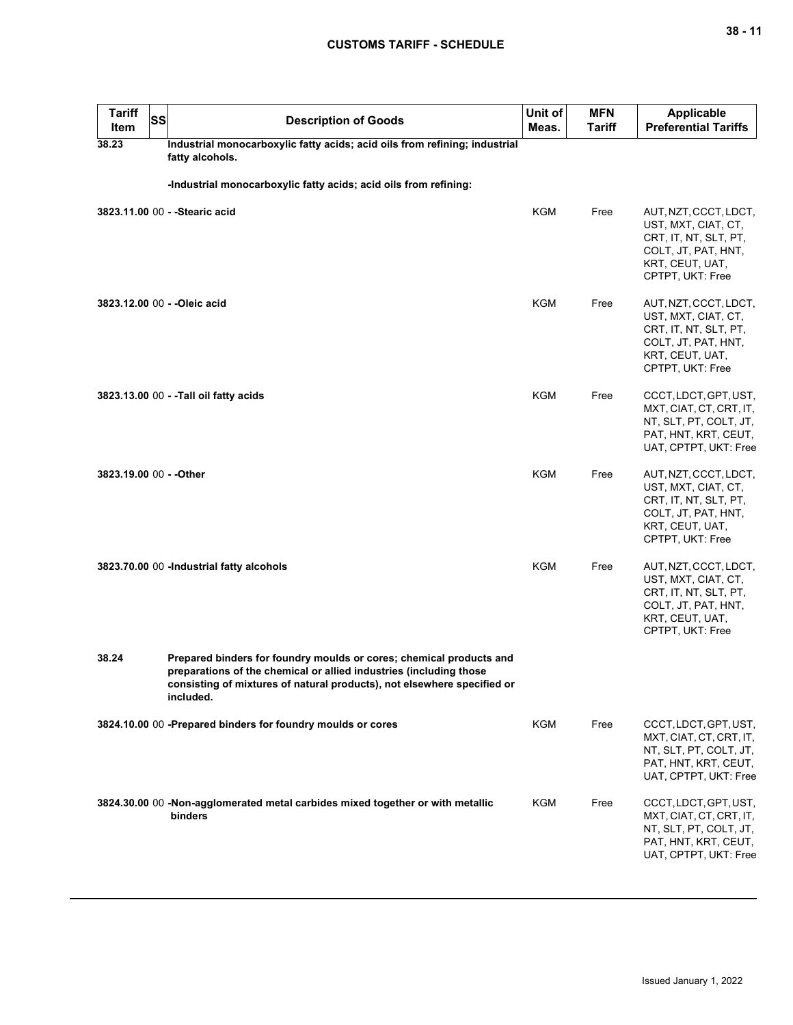| <b>Tariff</b><br>Item   | <b>SS</b> | <b>Description of Goods</b>                                                                                                                                                                                                       | Unit of<br>Meas. | <b>MFN</b><br><b>Tariff</b> | <b>Applicable</b><br><b>Preferential Tariffs</b>                                                                                    |
|-------------------------|-----------|-----------------------------------------------------------------------------------------------------------------------------------------------------------------------------------------------------------------------------------|------------------|-----------------------------|-------------------------------------------------------------------------------------------------------------------------------------|
| 38.23                   |           | Industrial monocarboxylic fatty acids; acid oils from refining; industrial<br>fatty alcohols.                                                                                                                                     |                  |                             |                                                                                                                                     |
|                         |           | -Industrial monocarboxylic fatty acids; acid oils from refining:                                                                                                                                                                  |                  |                             |                                                                                                                                     |
|                         |           | 3823.11.00 00 - - Stearic acid                                                                                                                                                                                                    | <b>KGM</b>       | Free                        | AUT, NZT, CCCT, LDCT,<br>UST, MXT, CIAT, CT,<br>CRT, IT, NT, SLT, PT,<br>COLT, JT, PAT, HNT,<br>KRT, CEUT, UAT,<br>CPTPT, UKT: Free |
|                         |           | 3823.12.00 00 - - Oleic acid                                                                                                                                                                                                      | <b>KGM</b>       | Free                        | AUT, NZT, CCCT, LDCT,<br>UST, MXT, CIAT, CT,<br>CRT, IT, NT, SLT, PT,<br>COLT, JT, PAT, HNT,<br>KRT, CEUT, UAT,<br>CPTPT, UKT: Free |
|                         |           | 3823.13.00 00 - -Tall oil fatty acids                                                                                                                                                                                             | <b>KGM</b>       | Free                        | CCCT, LDCT, GPT, UST,<br>MXT, CIAT, CT, CRT, IT,<br>NT, SLT, PT, COLT, JT,<br>PAT, HNT, KRT, CEUT,<br>UAT, CPTPT, UKT: Free         |
| 3823.19.00 00 - - Other |           |                                                                                                                                                                                                                                   | <b>KGM</b>       | Free                        | AUT, NZT, CCCT, LDCT,<br>UST, MXT, CIAT, CT,<br>CRT, IT, NT, SLT, PT,<br>COLT, JT, PAT, HNT,<br>KRT, CEUT, UAT,<br>CPTPT, UKT: Free |
|                         |           | 3823.70.00 00 - Industrial fatty alcohols                                                                                                                                                                                         | <b>KGM</b>       | Free                        | AUT, NZT, CCCT, LDCT,<br>UST, MXT, CIAT, CT,<br>CRT, IT, NT, SLT, PT,<br>COLT, JT, PAT, HNT,<br>KRT, CEUT, UAT,<br>CPTPT, UKT: Free |
| 38.24                   |           | Prepared binders for foundry moulds or cores; chemical products and<br>preparations of the chemical or allied industries (including those<br>consisting of mixtures of natural products), not elsewhere specified or<br>included. |                  |                             |                                                                                                                                     |
|                         |           | 3824.10.00 00 -Prepared binders for foundry moulds or cores                                                                                                                                                                       | <b>KGM</b>       | Free                        | CCCT, LDCT, GPT, UST,<br>MXT, CIAT, CT, CRT, IT,<br>NT, SLT, PT, COLT, JT,<br>PAT, HNT, KRT, CEUT,<br>UAT, CPTPT, UKT: Free         |
|                         |           | 3824.30.00 00 -Non-agglomerated metal carbides mixed together or with metallic<br>binders                                                                                                                                         | <b>KGM</b>       | Free                        | CCCT, LDCT, GPT, UST,<br>MXT, CIAT, CT, CRT, IT,<br>NT, SLT, PT, COLT, JT,<br>PAT, HNT, KRT, CEUT,<br>UAT, CPTPT, UKT: Free         |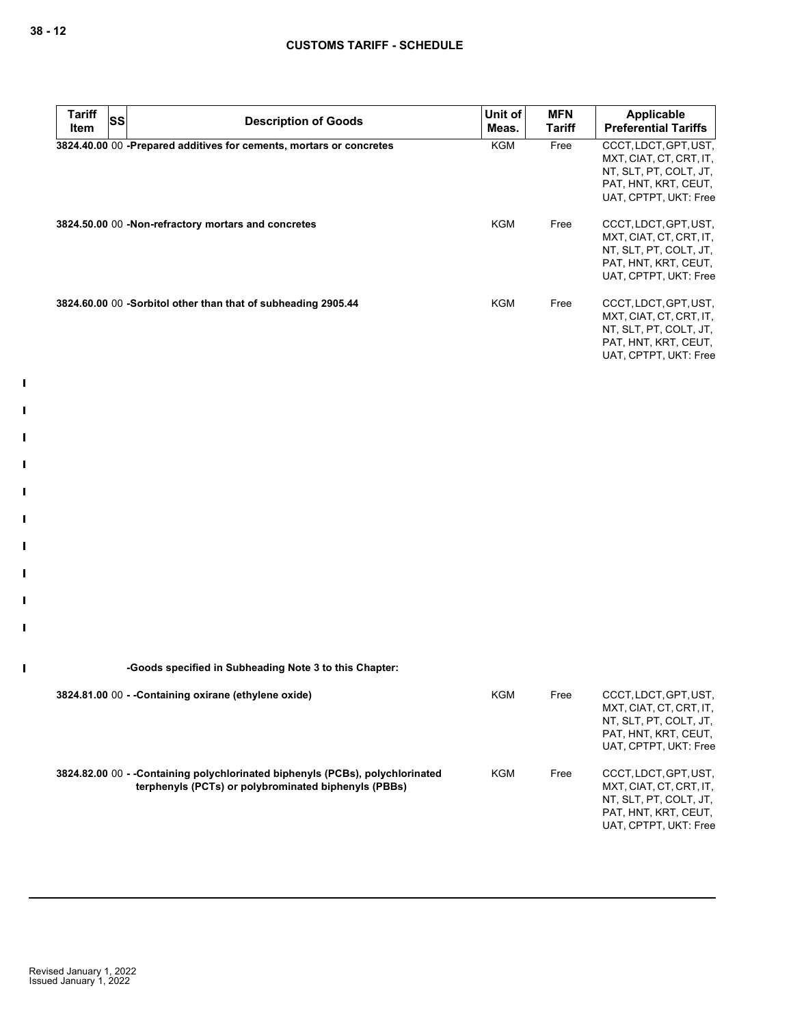$\mathbf{I}$ 

 $\mathbf{I}$ 

 $\blacksquare$ 

 $\mathbf{I}$ 

 $\mathbf{I}$ 

 $\mathbf{I}$ 

 $\mathbf{I}$ 

 $\mathbf{I}$ 

 $\mathbf{I}$ 

 $\mathbf{I}$ 

 $\mathbf I$ 

| <b>Tariff</b><br>ltem | <b>SS</b> | <b>Description of Goods</b>                                         | Unit of<br>Meas. | <b>MFN</b><br>Tariff | Applicable<br><b>Preferential Tariffs</b>                                                                                   |
|-----------------------|-----------|---------------------------------------------------------------------|------------------|----------------------|-----------------------------------------------------------------------------------------------------------------------------|
|                       |           | 3824.40.00 00 -Prepared additives for cements, mortars or concretes | <b>KGM</b>       | Free                 | CCCT, LDCT, GPT, UST,<br>MXT, CIAT, CT, CRT, IT,<br>NT, SLT, PT, COLT, JT,<br>PAT, HNT, KRT, CEUT,<br>UAT, CPTPT, UKT: Free |
|                       |           | 3824.50.00 00 -Non-refractory mortars and concretes                 | <b>KGM</b>       | Free                 | CCCT, LDCT, GPT, UST,<br>MXT, CIAT, CT, CRT, IT,<br>NT, SLT, PT, COLT, JT,<br>PAT, HNT, KRT, CEUT,<br>UAT. CPTPT. UKT: Free |
|                       |           | 3824.60.00 00 -Sorbitol other than that of subheading 2905.44       | <b>KGM</b>       | Free                 | CCCT, LDCT, GPT, UST,<br>MXT, CIAT, CT, CRT, IT,<br>NT, SLT, PT, COLT, JT,<br>PAT, HNT, KRT, CEUT,<br>UAT, CPTPT, UKT: Free |

| -Goods specified in Subheading Note 3 to this Chapter:                                                                                |     |      |                                                                                                                             |
|---------------------------------------------------------------------------------------------------------------------------------------|-----|------|-----------------------------------------------------------------------------------------------------------------------------|
| 3824.81.00 00 - - Containing oxirane (ethylene oxide)                                                                                 | KGM | Free | CCCT, LDCT, GPT, UST,<br>MXT, CIAT, CT, CRT, IT,<br>NT, SLT, PT, COLT, JT,<br>PAT, HNT, KRT, CEUT,<br>UAT. CPTPT. UKT: Free |
| 3824.82.00 00 - -Containing polychlorinated biphenyls (PCBs), polychlorinated<br>terphenyls (PCTs) or polybrominated biphenyls (PBBs) | KGM | Free | CCCT, LDCT, GPT, UST,<br>MXT, CIAT, CT, CRT, IT,<br>NT, SLT, PT, COLT, JT,<br>PAT, HNT, KRT, CEUT,<br>UAT. CPTPT. UKT: Free |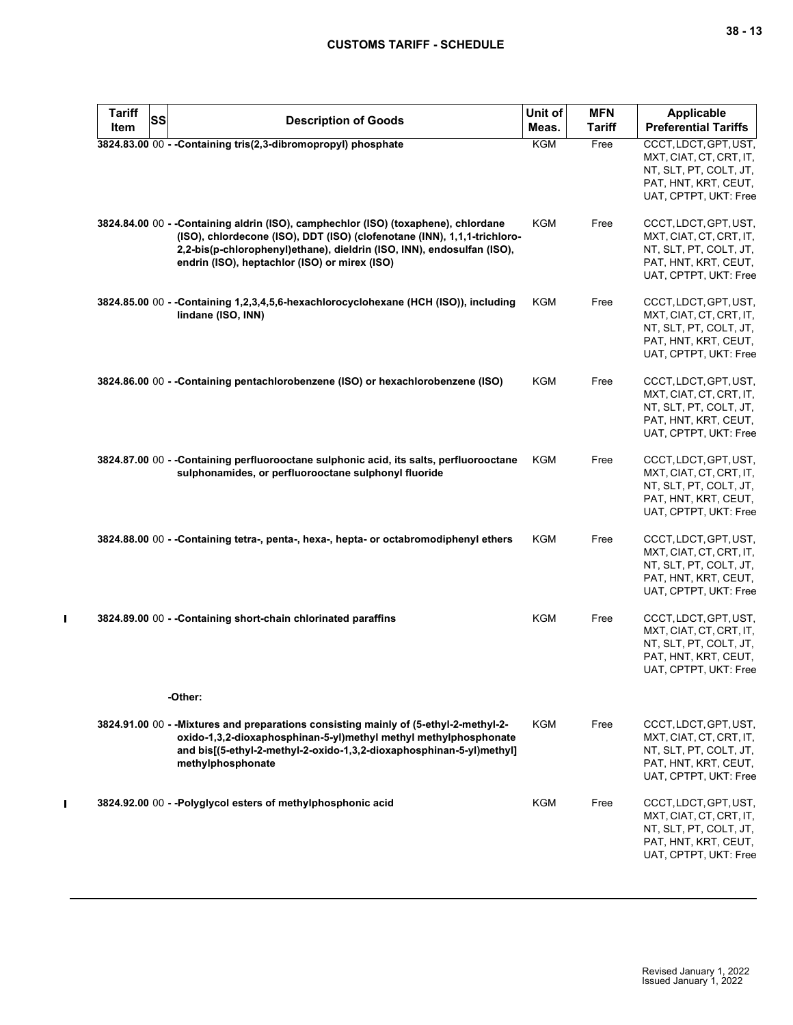| <b>Tariff</b><br>SS<br>Item | <b>Description of Goods</b>                                                                                                                                                                                                                                                               | Unit of<br>Meas. | <b>MFN</b><br><b>Tariff</b> | <b>Applicable</b><br><b>Preferential Tariffs</b>                                                                            |
|-----------------------------|-------------------------------------------------------------------------------------------------------------------------------------------------------------------------------------------------------------------------------------------------------------------------------------------|------------------|-----------------------------|-----------------------------------------------------------------------------------------------------------------------------|
|                             | 3824.83.00 00 - - Containing tris(2,3-dibromopropyl) phosphate                                                                                                                                                                                                                            | <b>KGM</b>       | Free                        | CCCT, LDCT, GPT, UST,<br>MXT, CIAT, CT, CRT, IT,<br>NT, SLT, PT, COLT, JT,<br>PAT, HNT, KRT, CEUT,<br>UAT, CPTPT, UKT: Free |
|                             | 3824.84.00 00 - -Containing aldrin (ISO), camphechlor (ISO) (toxaphene), chlordane<br>(ISO), chlordecone (ISO), DDT (ISO) (clofenotane (INN), 1,1,1-trichloro-<br>2,2-bis(p-chlorophenyl)ethane), dieldrin (ISO, INN), endosulfan (ISO),<br>endrin (ISO), heptachlor (ISO) or mirex (ISO) | KGM              | Free                        | CCCT, LDCT, GPT, UST,<br>MXT, CIAT, CT, CRT, IT,<br>NT, SLT, PT, COLT, JT,<br>PAT, HNT, KRT, CEUT,<br>UAT, CPTPT, UKT: Free |
|                             | 3824.85.00 00 - - Containing 1,2,3,4,5,6-hexachlorocyclohexane (HCH (ISO)), including<br>lindane (ISO, INN)                                                                                                                                                                               | KGM              | Free                        | CCCT, LDCT, GPT, UST,<br>MXT, CIAT, CT, CRT, IT,<br>NT, SLT, PT, COLT, JT,<br>PAT, HNT, KRT, CEUT,<br>UAT, CPTPT, UKT: Free |
|                             | 3824.86.00 00 - -Containing pentachlorobenzene (ISO) or hexachlorobenzene (ISO)                                                                                                                                                                                                           | <b>KGM</b>       | Free                        | CCCT, LDCT, GPT, UST,<br>MXT, CIAT, CT, CRT, IT,<br>NT, SLT, PT, COLT, JT,<br>PAT, HNT, KRT, CEUT,<br>UAT, CPTPT, UKT: Free |
|                             | 3824.87.00 00 - -Containing perfluorooctane sulphonic acid, its salts, perfluorooctane<br>sulphonamides, or perfluorooctane sulphonyl fluoride                                                                                                                                            | <b>KGM</b>       | Free                        | CCCT, LDCT, GPT, UST,<br>MXT, CIAT, CT, CRT, IT,<br>NT, SLT, PT, COLT, JT,<br>PAT, HNT, KRT, CEUT,<br>UAT, CPTPT, UKT: Free |
|                             | 3824.88.00 00 - -Containing tetra-, penta-, hexa-, hepta- or octabromodiphenyl ethers                                                                                                                                                                                                     | <b>KGM</b>       | Free                        | CCCT, LDCT, GPT, UST,<br>MXT, CIAT, CT, CRT, IT,<br>NT, SLT, PT, COLT, JT,<br>PAT, HNT, KRT, CEUT,<br>UAT, CPTPT, UKT: Free |
|                             | 3824.89.00 00 - -Containing short-chain chlorinated paraffins                                                                                                                                                                                                                             | <b>KGM</b>       | Free                        | CCCT, LDCT, GPT, UST,<br>MXT, CIAT, CT, CRT, IT,<br>NT, SLT, PT, COLT, JT,<br>PAT, HNT, KRT, CEUT,<br>UAT, CPTPT, UKT: Free |
|                             | -Other:                                                                                                                                                                                                                                                                                   |                  |                             |                                                                                                                             |
|                             | 3824.91.00 00 - - Mixtures and preparations consisting mainly of (5-ethyl-2-methyl-2-<br>oxido-1,3,2-dioxaphosphinan-5-yl)methyl methyl methylphosphonate<br>and bis[(5-ethyl-2-methyl-2-oxido-1,3,2-dioxaphosphinan-5-yl)methyl]<br>methylphosphonate                                    | KGM              | Free                        | CCCT, LDCT, GPT, UST,<br>MXT, CIAT, CT, CRT, IT,<br>NT, SLT, PT, COLT, JT,<br>PAT, HNT, KRT, CEUT,<br>UAT, CPTPT, UKT: Free |
|                             | 3824.92.00 00 - - Polyglycol esters of methylphosphonic acid                                                                                                                                                                                                                              | <b>KGM</b>       | Free                        | CCCT, LDCT, GPT, UST,<br>MXT, CIAT, CT, CRT, IT,<br>NT, SLT, PT, COLT, JT,<br>PAT, HNT, KRT, CEUT,<br>UAT, CPTPT, UKT: Free |

 $\mathbf{I}$ 

 $\mathbf{I}$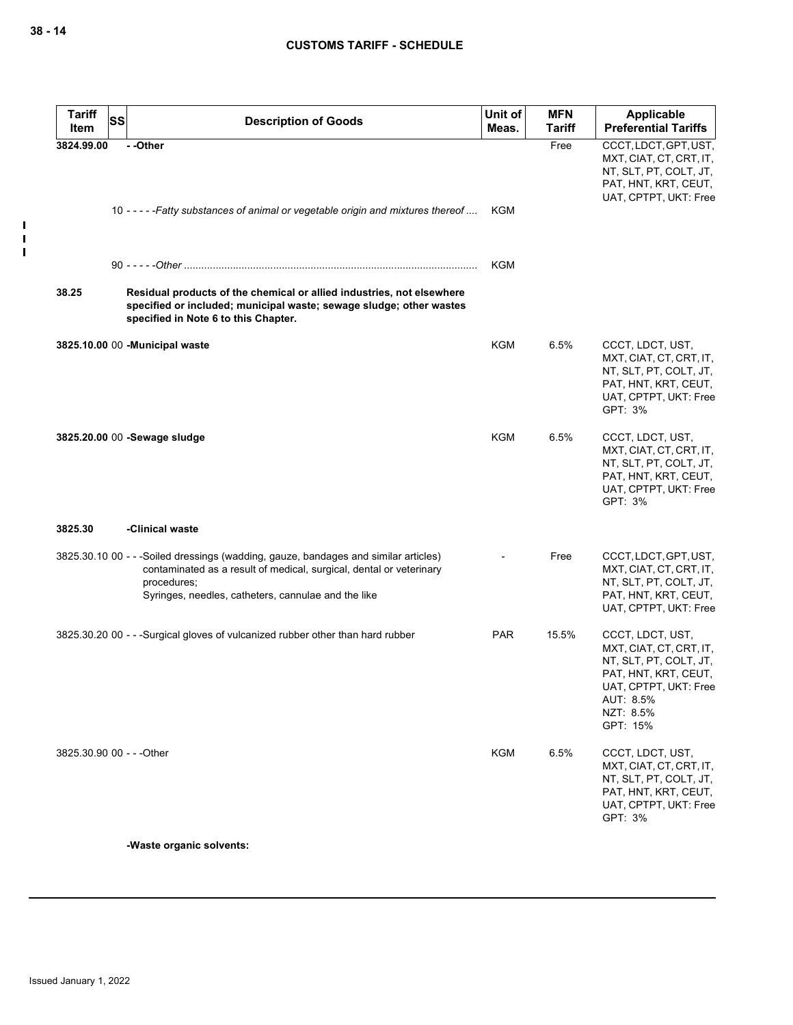$\blacksquare$  $\mathbf{I}$  $\mathbf{I}$ 

| <b>Tariff</b><br>Item | <b>SS</b><br><b>Description of Goods</b>                                                                                                                                                                                         | Unit of<br>Meas. | <b>MFN</b><br><b>Tariff</b> | <b>Applicable</b><br><b>Preferential Tariffs</b>                                                                                                             |
|-----------------------|----------------------------------------------------------------------------------------------------------------------------------------------------------------------------------------------------------------------------------|------------------|-----------------------------|--------------------------------------------------------------------------------------------------------------------------------------------------------------|
| 3824.99.00            | --Other<br>10 - - - - - Fatty substances of animal or vegetable origin and mixtures thereof                                                                                                                                      | KGM              | Free                        | CCCT, LDCT, GPT, UST,<br>MXT, CIAT, CT, CRT, IT,<br>NT, SLT, PT, COLT, JT,<br>PAT, HNT, KRT, CEUT,<br>UAT, CPTPT, UKT: Free                                  |
|                       |                                                                                                                                                                                                                                  | KGM              |                             |                                                                                                                                                              |
| 38.25                 | Residual products of the chemical or allied industries, not elsewhere<br>specified or included; municipal waste; sewage sludge; other wastes<br>specified in Note 6 to this Chapter.                                             |                  |                             |                                                                                                                                                              |
|                       | 3825.10.00 00 - Municipal waste                                                                                                                                                                                                  | KGM              | 6.5%                        | CCCT, LDCT, UST,<br>MXT, CIAT, CT, CRT, IT,<br>NT, SLT, PT, COLT, JT,<br>PAT, HNT, KRT, CEUT,<br>UAT, CPTPT, UKT: Free<br>GPT: 3%                            |
|                       | 3825.20.00 00 -Sewage sludge                                                                                                                                                                                                     | KGM              | 6.5%                        | CCCT, LDCT, UST,<br>MXT, CIAT, CT, CRT, IT,<br>NT, SLT, PT, COLT, JT,<br>PAT, HNT, KRT, CEUT,<br>UAT, CPTPT, UKT: Free<br>GPT: 3%                            |
| 3825.30               | -Clinical waste                                                                                                                                                                                                                  |                  |                             |                                                                                                                                                              |
|                       | 3825.30.10 00 - - -Soiled dressings (wadding, gauze, bandages and similar articles)<br>contaminated as a result of medical, surgical, dental or veterinary<br>procedures;<br>Syringes, needles, catheters, cannulae and the like |                  | Free                        | CCCT, LDCT, GPT, UST,<br>MXT, CIAT, CT, CRT, IT,<br>NT, SLT, PT, COLT, JT,<br>PAT, HNT, KRT, CEUT,<br>UAT, CPTPT, UKT: Free                                  |
|                       | 3825.30.20 00 - - -Surgical gloves of vulcanized rubber other than hard rubber                                                                                                                                                   | <b>PAR</b>       | 15.5%                       | CCCT, LDCT, UST,<br>MXT, CIAT, CT, CRT, IT,<br>NT, SLT, PT, COLT, JT,<br>PAT, HNT, KRT, CEUT,<br>UAT, CPTPT, UKT: Free<br>AUT: 8.5%<br>NZT: 8.5%<br>GPT: 15% |
|                       | 3825.30.90 00 - - - Other                                                                                                                                                                                                        | <b>KGM</b>       | 6.5%                        | CCCT, LDCT, UST,<br>MXT, CIAT, CT, CRT, IT,<br>NT, SLT, PT, COLT, JT,<br>PAT, HNT, KRT, CEUT,<br>UAT, CPTPT, UKT: Free<br>GPT: 3%                            |

**-Waste organic solvents:**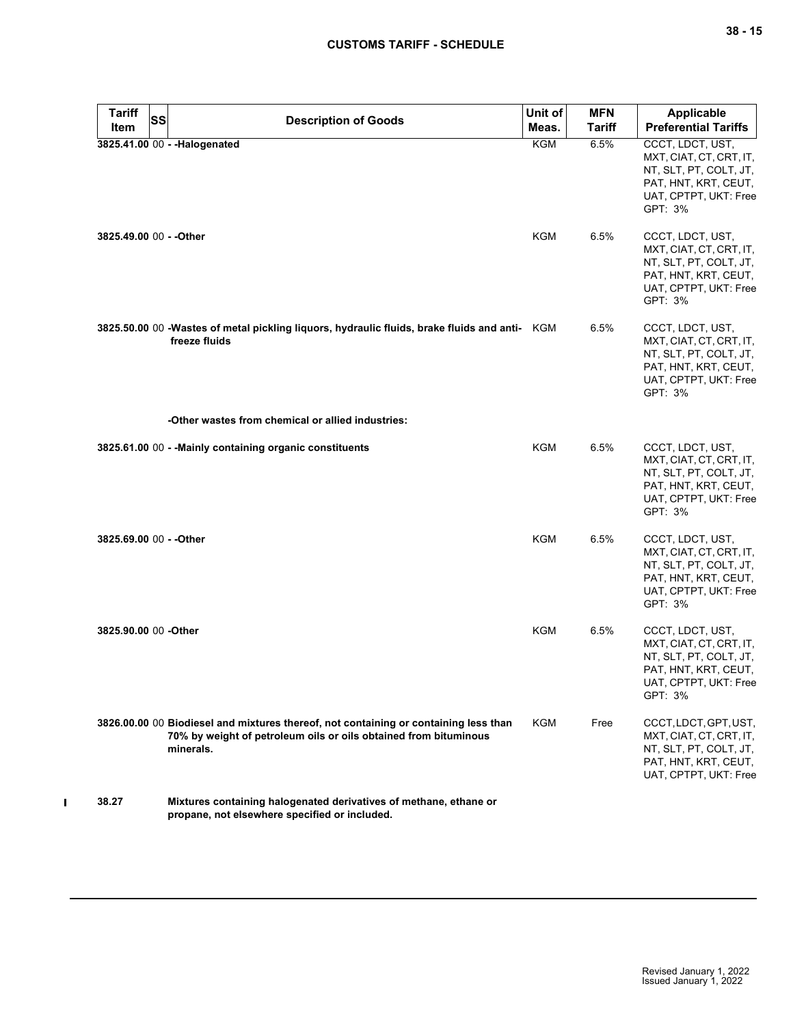| <b>Tariff</b><br><b>SS</b><br>Item | <b>Description of Goods</b>                                                                                                                                           | Unit of<br>Meas. | <b>MFN</b><br><b>Tariff</b> | <b>Applicable</b><br><b>Preferential Tariffs</b>                                                                                  |
|------------------------------------|-----------------------------------------------------------------------------------------------------------------------------------------------------------------------|------------------|-----------------------------|-----------------------------------------------------------------------------------------------------------------------------------|
|                                    | 3825.41.00 00 - - Halogenated                                                                                                                                         | <b>KGM</b>       | 6.5%                        | CCCT, LDCT, UST,<br>MXT, CIAT, CT, CRT, IT,<br>NT, SLT, PT, COLT, JT,<br>PAT, HNT, KRT, CEUT,<br>UAT, CPTPT, UKT: Free<br>GPT: 3% |
| 3825.49.00 00 - - Other            |                                                                                                                                                                       | KGM              | $6.5\%$                     | CCCT, LDCT, UST,<br>MXT, CIAT, CT, CRT, IT,<br>NT, SLT, PT, COLT, JT,<br>PAT, HNT, KRT, CEUT,<br>UAT, CPTPT, UKT: Free<br>GPT: 3% |
|                                    | 3825.50.00 00 -Wastes of metal pickling liquors, hydraulic fluids, brake fluids and anti- KGM<br>freeze fluids                                                        |                  | 6.5%                        | CCCT, LDCT, UST,<br>MXT, CIAT, CT, CRT, IT,<br>NT, SLT, PT, COLT, JT,<br>PAT, HNT, KRT, CEUT,<br>UAT, CPTPT, UKT: Free<br>GPT: 3% |
|                                    | -Other wastes from chemical or allied industries:                                                                                                                     |                  |                             |                                                                                                                                   |
|                                    | 3825.61.00 00 - - Mainly containing organic constituents                                                                                                              | <b>KGM</b>       | 6.5%                        | CCCT, LDCT, UST,<br>MXT, CIAT, CT, CRT, IT,<br>NT, SLT, PT, COLT, JT,<br>PAT, HNT, KRT, CEUT,<br>UAT, CPTPT, UKT: Free<br>GPT: 3% |
| 3825.69.00 00 - - Other            |                                                                                                                                                                       | KGM              | 6.5%                        | CCCT, LDCT, UST,<br>MXT, CIAT, CT, CRT, IT,<br>NT, SLT, PT, COLT, JT,<br>PAT, HNT, KRT, CEUT,<br>UAT, CPTPT, UKT: Free<br>GPT: 3% |
| 3825.90.00 00 -Other               |                                                                                                                                                                       | KGM              | 6.5%                        | CCCT, LDCT, UST,<br>MXT, CIAT, CT, CRT, IT,<br>NT, SLT, PT, COLT, JT,<br>PAT, HNT, KRT, CEUT,<br>UAT, CPTPT, UKT: Free<br>GPT: 3% |
|                                    | 3826.00.00 00 Biodiesel and mixtures thereof, not containing or containing less than<br>70% by weight of petroleum oils or oils obtained from bituminous<br>minerals. | KGM              | Free                        | CCCT, LDCT, GPT, UST,<br>MXT, CIAT, CT, CRT, IT,<br>NT, SLT, PT, COLT, JT,<br>PAT, HNT, KRT, CEUT,<br>UAT, CPTPT, UKT: Free       |
| 38.27                              | Mixtures containing halogenated derivatives of methane, ethane or<br>propane, not elsewhere specified or included.                                                    |                  |                             |                                                                                                                                   |

 $\mathbf I$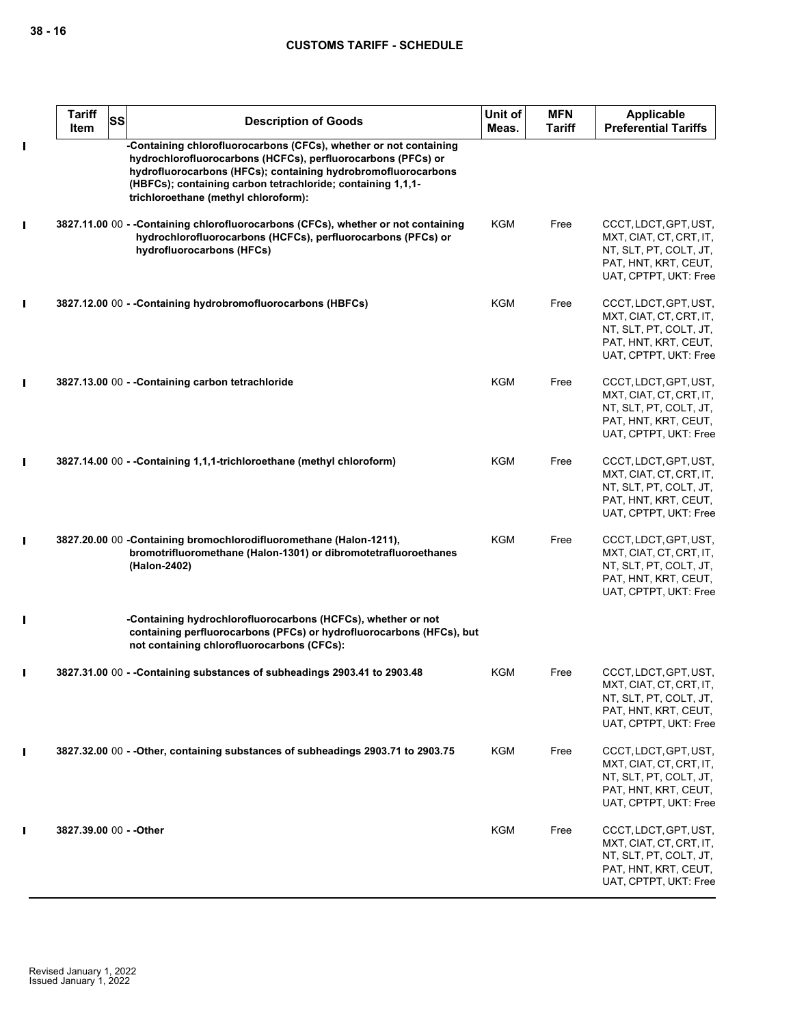|                | <b>Tariff</b><br><b>SS</b><br>Item | <b>Description of Goods</b>                                                                                                                                                                                                                                                                               | Unit of<br>Meas. | <b>MFN</b><br><b>Tariff</b> | <b>Applicable</b><br><b>Preferential Tariffs</b>                                                                            |
|----------------|------------------------------------|-----------------------------------------------------------------------------------------------------------------------------------------------------------------------------------------------------------------------------------------------------------------------------------------------------------|------------------|-----------------------------|-----------------------------------------------------------------------------------------------------------------------------|
| $\blacksquare$ |                                    | -Containing chlorofluorocarbons (CFCs), whether or not containing<br>hydrochlorofluorocarbons (HCFCs), perfluorocarbons (PFCs) or<br>hydrofluorocarbons (HFCs); containing hydrobromofluorocarbons<br>(HBFCs); containing carbon tetrachloride; containing 1,1,1-<br>trichloroethane (methyl chloroform): |                  |                             |                                                                                                                             |
| L              |                                    | 3827.11.00 00 - -Containing chlorofluorocarbons (CFCs), whether or not containing<br>hydrochlorofluorocarbons (HCFCs), perfluorocarbons (PFCs) or<br>hydrofluorocarbons (HFCs)                                                                                                                            | KGM              | Free                        | CCCT, LDCT, GPT, UST,<br>MXT, CIAT, CT, CRT, IT,<br>NT, SLT, PT, COLT, JT,<br>PAT, HNT, KRT, CEUT,<br>UAT, CPTPT, UKT: Free |
| П              |                                    | 3827.12.00 00 - - Containing hydrobromofluorocarbons (HBFCs)                                                                                                                                                                                                                                              | KGM              | Free                        | CCCT, LDCT, GPT, UST,<br>MXT, CIAT, CT, CRT, IT,<br>NT, SLT, PT, COLT, JT,<br>PAT, HNT, KRT, CEUT,<br>UAT, CPTPT, UKT: Free |
| $\mathbf I$    |                                    | 3827.13.00 00 - - Containing carbon tetrachloride                                                                                                                                                                                                                                                         | <b>KGM</b>       | Free                        | CCCT, LDCT, GPT, UST,<br>MXT, CIAT, CT, CRT, IT,<br>NT, SLT, PT, COLT, JT,<br>PAT, HNT, KRT, CEUT,<br>UAT, CPTPT, UKT: Free |
| П              |                                    | 3827.14.00 00 - - Containing 1,1,1-trichloroethane (methyl chloroform)                                                                                                                                                                                                                                    | <b>KGM</b>       | Free                        | CCCT, LDCT, GPT, UST,<br>MXT, CIAT, CT, CRT, IT,<br>NT, SLT, PT, COLT, JT,<br>PAT, HNT, KRT, CEUT,<br>UAT, CPTPT, UKT: Free |
| П              |                                    | 3827.20.00 00 -Containing bromochlorodifluoromethane (Halon-1211),<br>bromotrifluoromethane (Halon-1301) or dibromotetrafluoroethanes<br>(Halon-2402)                                                                                                                                                     | <b>KGM</b>       | Free                        | CCCT, LDCT, GPT, UST,<br>MXT, CIAT, CT, CRT, IT,<br>NT, SLT, PT, COLT, JT,<br>PAT, HNT, KRT, CEUT,<br>UAT, CPTPT, UKT: Free |
| $\mathbf I$    |                                    | -Containing hydrochlorofluorocarbons (HCFCs), whether or not<br>containing perfluorocarbons (PFCs) or hydrofluorocarbons (HFCs), but<br>not containing chlorofluorocarbons (CFCs):                                                                                                                        |                  |                             |                                                                                                                             |
| П              |                                    | 3827.31.00 00 - - Containing substances of subheadings 2903.41 to 2903.48                                                                                                                                                                                                                                 | KGM              | Free                        | CCCT, LDCT, GPT, UST,<br>MXT, CIAT, CT, CRT, IT,<br>NT, SLT, PT, COLT, JT,<br>PAT, HNT, KRT, CEUT,<br>UAT, CPTPT, UKT: Free |
|                |                                    | 3827.32.00 00 - - Other, containing substances of subheadings 2903.71 to 2903.75                                                                                                                                                                                                                          | KGM              | Free                        | CCCT, LDCT, GPT, UST,<br>MXT, CIAT, CT, CRT, IT,<br>NT, SLT, PT, COLT, JT,<br>PAT, HNT, KRT, CEUT,<br>UAT, CPTPT, UKT: Free |
| П              | 3827.39.00 00 - - Other            |                                                                                                                                                                                                                                                                                                           | KGM              | Free                        | CCCT, LDCT, GPT, UST,<br>MXT, CIAT, CT, CRT, IT,<br>NT, SLT, PT, COLT, JT,<br>PAT, HNT, KRT, CEUT,<br>UAT, CPTPT, UKT: Free |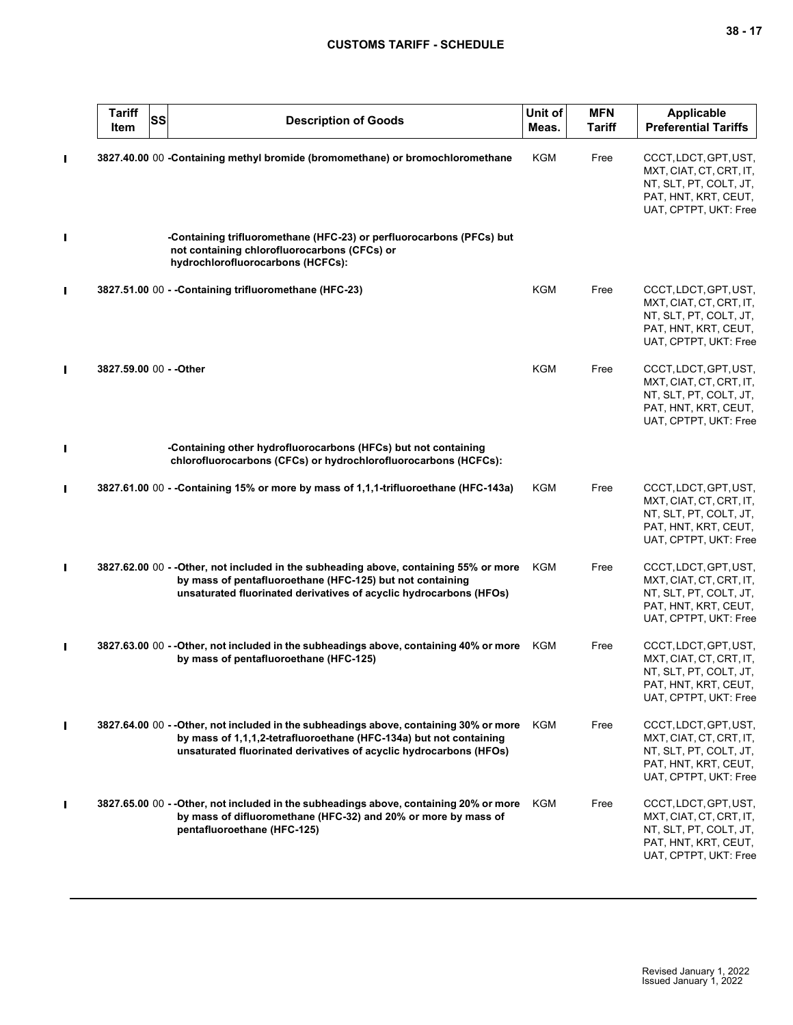|                | <b>Tariff</b><br>SS<br>Item | <b>Description of Goods</b>                                                                                                                                                                                                        | Unit of<br>Meas. | <b>MFN</b><br><b>Tariff</b> | <b>Applicable</b><br><b>Preferential Tariffs</b>                                                                            |
|----------------|-----------------------------|------------------------------------------------------------------------------------------------------------------------------------------------------------------------------------------------------------------------------------|------------------|-----------------------------|-----------------------------------------------------------------------------------------------------------------------------|
| Π              |                             | 3827.40.00 00 -Containing methyl bromide (bromomethane) or bromochloromethane                                                                                                                                                      | KGM              | Free                        | CCCT, LDCT, GPT, UST,<br>MXT, CIAT, CT, CRT, IT,<br>NT, SLT, PT, COLT, JT,<br>PAT, HNT, KRT, CEUT,<br>UAT, CPTPT, UKT: Free |
| Π              |                             | -Containing trifluoromethane (HFC-23) or perfluorocarbons (PFCs) but<br>not containing chlorofluorocarbons (CFCs) or<br>hydrochlorofluorocarbons (HCFCs):                                                                          |                  |                             |                                                                                                                             |
| $\blacksquare$ |                             | 3827.51.00 00 - - Containing trifluoromethane (HFC-23)                                                                                                                                                                             | <b>KGM</b>       | Free                        | CCCT, LDCT, GPT, UST,<br>MXT, CIAT, CT, CRT, IT,<br>NT, SLT, PT, COLT, JT,<br>PAT, HNT, KRT, CEUT,<br>UAT, CPTPT, UKT: Free |
| $\blacksquare$ | 3827.59.00 00 - - Other     |                                                                                                                                                                                                                                    | <b>KGM</b>       | Free                        | CCCT, LDCT, GPT, UST,<br>MXT, CIAT, CT, CRT, IT,<br>NT, SLT, PT, COLT, JT,<br>PAT, HNT, KRT, CEUT,<br>UAT, CPTPT, UKT: Free |
| Π              |                             | -Containing other hydrofluorocarbons (HFCs) but not containing<br>chlorofluorocarbons (CFCs) or hydrochlorofluorocarbons (HCFCs):                                                                                                  |                  |                             |                                                                                                                             |
| П              |                             | 3827.61.00 00 - - Containing 15% or more by mass of 1,1,1-trifluoroethane (HFC-143a)                                                                                                                                               | KGM              | Free                        | CCCT, LDCT, GPT, UST,<br>MXT, CIAT, CT, CRT, IT,<br>NT, SLT, PT, COLT, JT,<br>PAT, HNT, KRT, CEUT,<br>UAT, CPTPT, UKT: Free |
| П              |                             | 3827.62.00 00 - - Other, not included in the subheading above, containing 55% or more<br>by mass of pentafluoroethane (HFC-125) but not containing<br>unsaturated fluorinated derivatives of acyclic hydrocarbons (HFOs)           | KGM              | Free                        | CCCT, LDCT, GPT, UST,<br>MXT, CIAT, CT, CRT, IT,<br>NT, SLT, PT, COLT, JT,<br>PAT, HNT, KRT, CEUT,<br>UAT, CPTPT, UKT: Free |
| П              |                             | 3827.63.00 00 - - Other, not included in the subheadings above, containing 40% or more<br>by mass of pentafluoroethane (HFC-125)                                                                                                   | KGM              | Free                        | CCCT, LDCT, GPT, UST,<br>MXT, CIAT, CT, CRT, IT,<br>NT, SLT, PT, COLT, JT,<br>PAT, HNT, KRT, CEUT,<br>UAT, CPTPT, UKT: Free |
| $\blacksquare$ |                             | 3827.64.00 00 - - Other, not included in the subheadings above, containing 30% or more<br>by mass of 1,1,1,2-tetrafluoroethane (HFC-134a) but not containing<br>unsaturated fluorinated derivatives of acyclic hydrocarbons (HFOs) | KGM              | Free                        | CCCT, LDCT, GPT, UST,<br>MXT, CIAT, CT, CRT, IT,<br>NT, SLT, PT, COLT, JT,<br>PAT, HNT, KRT, CEUT,<br>UAT, CPTPT, UKT: Free |
| Ш              |                             | 3827.65.00 00 - - Other, not included in the subheadings above, containing 20% or more<br>by mass of difluoromethane (HFC-32) and 20% or more by mass of<br>pentafluoroethane (HFC-125)                                            | KGM              | Free                        | CCCT, LDCT, GPT, UST,<br>MXT, CIAT, CT, CRT, IT,<br>NT, SLT, PT, COLT, JT,<br>PAT, HNT, KRT, CEUT,<br>UAT, CPTPT, UKT: Free |